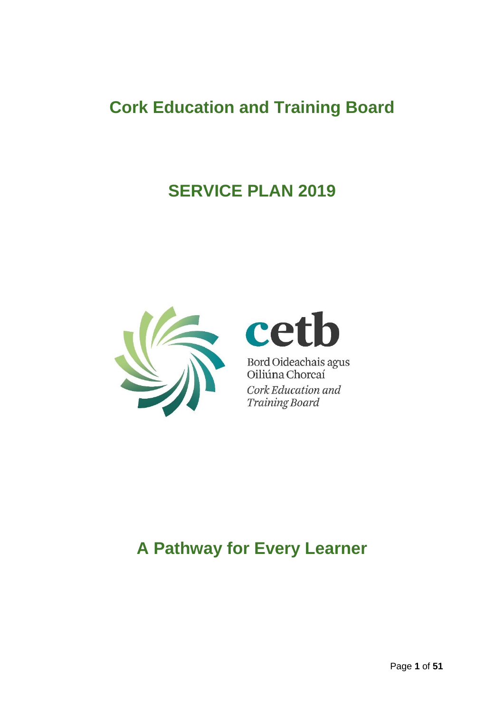# **Cork Education and Training Board**

# **SERVICE PLAN 2019**



# cet b

Bord Oideachais agus<br>Oiliúna Chorcaí Cork Education and **Training Board** 

# **A Pathway for Every Learner**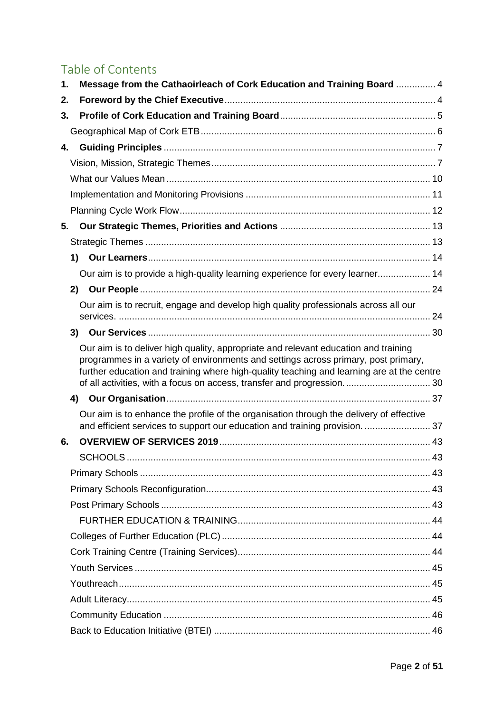# Table of Contents

| 1. | Message from the Cathaoirleach of Cork Education and Training Board  4                                                                                                                                                                                                                                                                           |  |
|----|--------------------------------------------------------------------------------------------------------------------------------------------------------------------------------------------------------------------------------------------------------------------------------------------------------------------------------------------------|--|
| 2. |                                                                                                                                                                                                                                                                                                                                                  |  |
| 3. |                                                                                                                                                                                                                                                                                                                                                  |  |
|    |                                                                                                                                                                                                                                                                                                                                                  |  |
| 4. |                                                                                                                                                                                                                                                                                                                                                  |  |
|    |                                                                                                                                                                                                                                                                                                                                                  |  |
|    |                                                                                                                                                                                                                                                                                                                                                  |  |
|    |                                                                                                                                                                                                                                                                                                                                                  |  |
|    |                                                                                                                                                                                                                                                                                                                                                  |  |
| 5. |                                                                                                                                                                                                                                                                                                                                                  |  |
|    |                                                                                                                                                                                                                                                                                                                                                  |  |
|    |                                                                                                                                                                                                                                                                                                                                                  |  |
|    | Our aim is to provide a high-quality learning experience for every learner 14                                                                                                                                                                                                                                                                    |  |
|    |                                                                                                                                                                                                                                                                                                                                                  |  |
|    | Our aim is to recruit, engage and develop high quality professionals across all our                                                                                                                                                                                                                                                              |  |
|    |                                                                                                                                                                                                                                                                                                                                                  |  |
|    | Our aim is to deliver high quality, appropriate and relevant education and training<br>programmes in a variety of environments and settings across primary, post primary,<br>further education and training where high-quality teaching and learning are at the centre<br>of all activities, with a focus on access, transfer and progression 30 |  |
|    |                                                                                                                                                                                                                                                                                                                                                  |  |
|    | Our aim is to enhance the profile of the organisation through the delivery of effective<br>and efficient services to support our education and training provision.  37                                                                                                                                                                           |  |
| 6. |                                                                                                                                                                                                                                                                                                                                                  |  |
|    |                                                                                                                                                                                                                                                                                                                                                  |  |
|    |                                                                                                                                                                                                                                                                                                                                                  |  |
|    |                                                                                                                                                                                                                                                                                                                                                  |  |
|    |                                                                                                                                                                                                                                                                                                                                                  |  |
|    |                                                                                                                                                                                                                                                                                                                                                  |  |
|    |                                                                                                                                                                                                                                                                                                                                                  |  |
|    |                                                                                                                                                                                                                                                                                                                                                  |  |
|    |                                                                                                                                                                                                                                                                                                                                                  |  |
|    |                                                                                                                                                                                                                                                                                                                                                  |  |
|    |                                                                                                                                                                                                                                                                                                                                                  |  |
|    |                                                                                                                                                                                                                                                                                                                                                  |  |
|    |                                                                                                                                                                                                                                                                                                                                                  |  |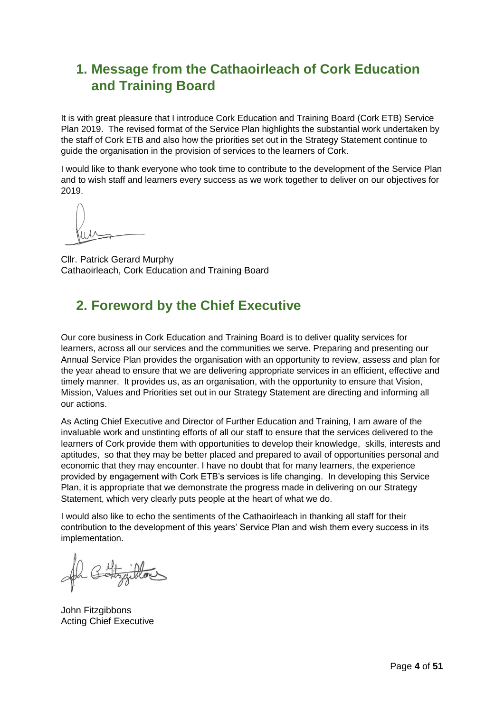## <span id="page-3-0"></span>**1. Message from the Cathaoirleach of Cork Education and Training Board**

It is with great pleasure that I introduce Cork Education and Training Board (Cork ETB) Service Plan 2019. The revised format of the Service Plan highlights the substantial work undertaken by the staff of Cork ETB and also how the priorities set out in the Strategy Statement continue to guide the organisation in the provision of services to the learners of Cork.

I would like to thank everyone who took time to contribute to the development of the Service Plan and to wish staff and learners every success as we work together to deliver on our objectives for 2019.

Cllr. Patrick Gerard Murphy Cathaoirleach, Cork Education and Training Board

## <span id="page-3-1"></span>**2. Foreword by the Chief Executive**

Our core business in Cork Education and Training Board is to deliver quality services for learners, across all our services and the communities we serve. Preparing and presenting our Annual Service Plan provides the organisation with an opportunity to review, assess and plan for the year ahead to ensure that we are delivering appropriate services in an efficient, effective and timely manner. It provides us, as an organisation, with the opportunity to ensure that Vision, Mission, Values and Priorities set out in our Strategy Statement are directing and informing all our actions.

As Acting Chief Executive and Director of Further Education and Training, I am aware of the invaluable work and unstinting efforts of all our staff to ensure that the services delivered to the learners of Cork provide them with opportunities to develop their knowledge, skills, interests and aptitudes, so that they may be better placed and prepared to avail of opportunities personal and economic that they may encounter. I have no doubt that for many learners, the experience provided by engagement with Cork ETB's services is life changing. In developing this Service Plan, it is appropriate that we demonstrate the progress made in delivering on our Strategy Statement, which very clearly puts people at the heart of what we do.

I would also like to echo the sentiments of the Cathaoirleach in thanking all staff for their contribution to the development of this years' Service Plan and wish them every success in its implementation.

John Fitzgibbons Acting Chief Executive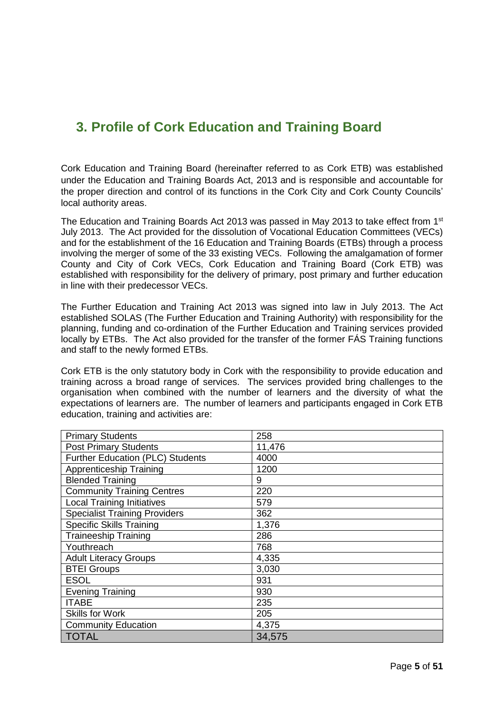## <span id="page-4-0"></span>**3. Profile of Cork Education and Training Board**

Cork Education and Training Board (hereinafter referred to as Cork ETB) was established under the Education and Training Boards Act, 2013 and is responsible and accountable for the proper direction and control of its functions in the Cork City and Cork County Councils' local authority areas.

The Education and Training Boards Act 2013 was passed in May 2013 to take effect from 1<sup>st</sup> July 2013. The Act provided for the dissolution of Vocational Education Committees (VECs) and for the establishment of the 16 Education and Training Boards (ETBs) through a process involving the merger of some of the 33 existing VECs. Following the amalgamation of former County and City of Cork VECs, Cork Education and Training Board (Cork ETB) was established with responsibility for the delivery of primary, post primary and further education in line with their predecessor VECs.

The Further Education and Training Act 2013 was signed into law in July 2013. The Act established SOLAS (The Further Education and Training Authority) with responsibility for the planning, funding and co-ordination of the Further Education and Training services provided locally by ETBs. The Act also provided for the transfer of the former FÁS Training functions and staff to the newly formed ETBs.

Cork ETB is the only statutory body in Cork with the responsibility to provide education and training across a broad range of services. The services provided bring challenges to the organisation when combined with the number of learners and the diversity of what the expectations of learners are. The number of learners and participants engaged in Cork ETB education, training and activities are:

| <b>Primary Students</b>              | 258    |
|--------------------------------------|--------|
| <b>Post Primary Students</b>         | 11,476 |
| Further Education (PLC) Students     | 4000   |
| <b>Apprenticeship Training</b>       | 1200   |
| <b>Blended Training</b>              | 9      |
| <b>Community Training Centres</b>    | 220    |
| <b>Local Training Initiatives</b>    | 579    |
| <b>Specialist Training Providers</b> | 362    |
| <b>Specific Skills Training</b>      | 1,376  |
| <b>Traineeship Training</b>          | 286    |
| Youthreach                           | 768    |
| <b>Adult Literacy Groups</b>         | 4,335  |
| <b>BTEI Groups</b>                   | 3,030  |
| <b>ESOL</b>                          | 931    |
| <b>Evening Training</b>              | 930    |
| <b>ITABE</b>                         | 235    |
| <b>Skills for Work</b>               | 205    |
| <b>Community Education</b>           | 4,375  |
| TOTAL                                | 34,575 |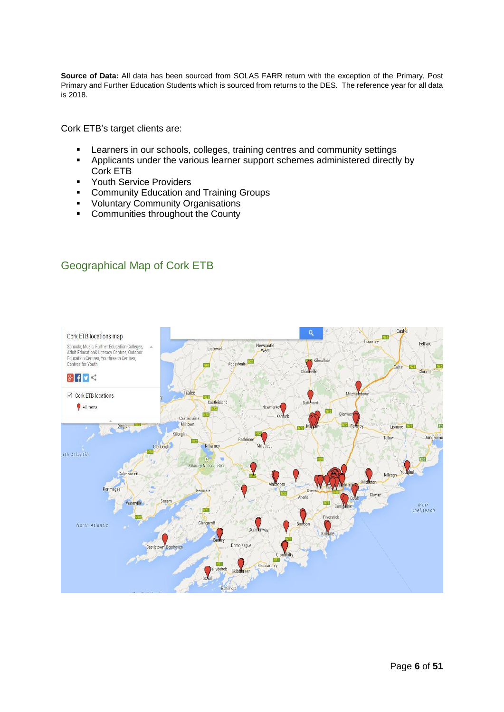**Source of Data:** All data has been sourced from SOLAS FARR return with the exception of the Primary, Post Primary and Further Education Students which is sourced from returns to the DES. The reference year for all data is 2018.

Cork ETB's target clients are:

- **EXECTERS** In our schools, colleges, training centres and community settings
- Applicants under the various learner support schemes administered directly by Cork ETB
- Youth Service Providers
- Community Education and Training Groups
- Voluntary Community Organisations
- Communities throughout the County

### <span id="page-5-0"></span>Geographical Map of Cork ETB

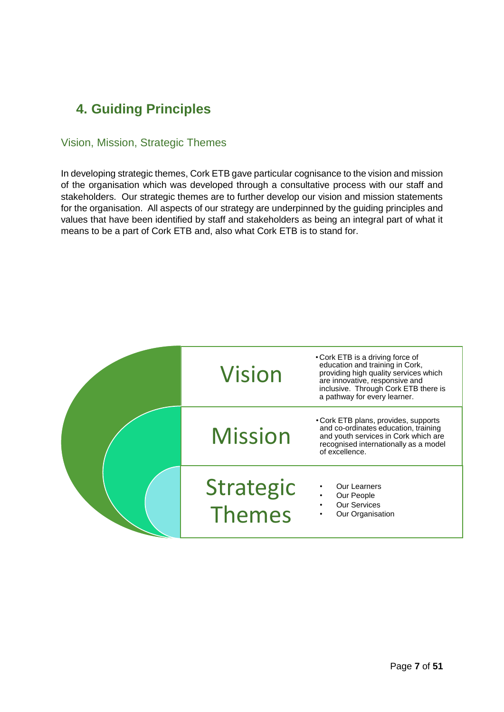# <span id="page-6-0"></span>**4. Guiding Principles**

### <span id="page-6-1"></span>Vision, Mission, Strategic Themes

In developing strategic themes, Cork ETB gave particular cognisance to the vision and mission of the organisation which was developed through a consultative process with our staff and stakeholders. Our strategic themes are to further develop our vision and mission statements for the organisation. All aspects of our strategy are underpinned by the guiding principles and values that have been identified by staff and stakeholders as being an integral part of what it means to be a part of Cork ETB and, also what Cork ETB is to stand for.

| <b>Vision</b>       | • Cork ETB is a driving force of<br>education and training in Cork,<br>providing high quality services which<br>are innovative, responsive and<br>inclusive. Through Cork ETB there is<br>a pathway for every learner. |
|---------------------|------------------------------------------------------------------------------------------------------------------------------------------------------------------------------------------------------------------------|
| <b>Mission</b>      | • Cork ETB plans, provides, supports<br>and co-ordinates education, training<br>and youth services in Cork which are<br>recognised internationally as a model<br>of excellence.                                        |
| Strategic<br>Themes | Our Learners<br>Our People<br><b>Our Services</b><br>Our Organisation                                                                                                                                                  |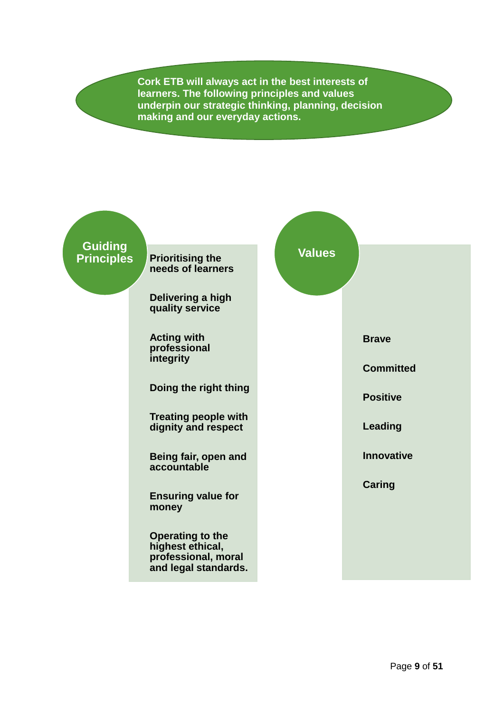**Cork ETB will always act in the best interests of learners. The following principles and values underpin our strategic thinking, planning, decision making and our everyday actions.**

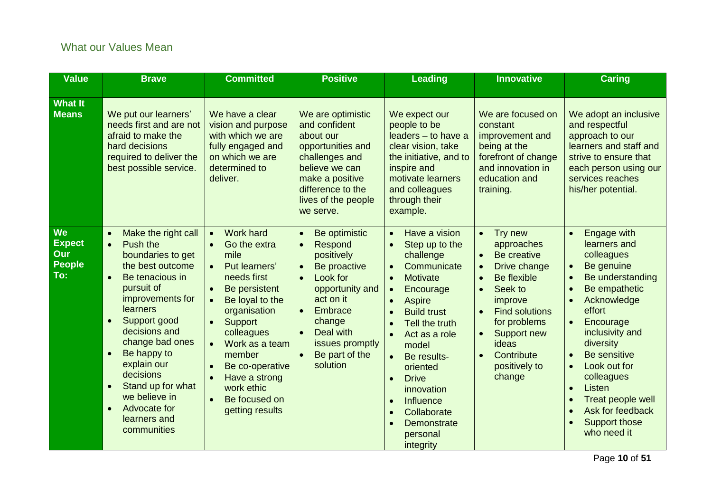### What our Values Mean

<span id="page-9-0"></span>

| <b>Value</b>                                              | <b>Brave</b>                                                                                                                                                                                                                                                                                                                                                                                                | <b>Committed</b>                                                                                                                                                                                                                                                                     | <b>Positive</b>                                                                                                                                                                                                                                                                  | <b>Leading</b>                                                                                                                                                                                                                                                                                                                                                                                                                  | <b>Innovative</b>                                                                                                                                                                                                                                                                                     | <b>Caring</b>                                                                                                                                                                                                                                                                                                                                                  |  |
|-----------------------------------------------------------|-------------------------------------------------------------------------------------------------------------------------------------------------------------------------------------------------------------------------------------------------------------------------------------------------------------------------------------------------------------------------------------------------------------|--------------------------------------------------------------------------------------------------------------------------------------------------------------------------------------------------------------------------------------------------------------------------------------|----------------------------------------------------------------------------------------------------------------------------------------------------------------------------------------------------------------------------------------------------------------------------------|---------------------------------------------------------------------------------------------------------------------------------------------------------------------------------------------------------------------------------------------------------------------------------------------------------------------------------------------------------------------------------------------------------------------------------|-------------------------------------------------------------------------------------------------------------------------------------------------------------------------------------------------------------------------------------------------------------------------------------------------------|----------------------------------------------------------------------------------------------------------------------------------------------------------------------------------------------------------------------------------------------------------------------------------------------------------------------------------------------------------------|--|
| <b>What It</b><br><b>Means</b>                            | We put our learners'<br>needs first and are not<br>afraid to make the<br>hard decisions<br>required to deliver the<br>best possible service.                                                                                                                                                                                                                                                                | We have a clear<br>vision and purpose<br>with which we are<br>fully engaged and<br>on which we are<br>determined to<br>deliver.                                                                                                                                                      | We are optimistic<br>and confident<br>about our<br>opportunities and<br>challenges and<br>believe we can<br>make a positive<br>difference to the<br>lives of the people<br>we serve.                                                                                             | We expect our<br>people to be<br>leaders - to have a<br>clear vision, take<br>the initiative, and to<br>inspire and<br>motivate learners<br>and colleagues<br>through their<br>example.                                                                                                                                                                                                                                         | We are focused on<br>constant<br>improvement and<br>being at the<br>forefront of change<br>and innovation in<br>education and<br>training.                                                                                                                                                            | We adopt an inclusive<br>and respectful<br>approach to our<br>learners and staff and<br>strive to ensure that<br>each person using our<br>services reaches<br>his/her potential.                                                                                                                                                                               |  |
| <b>We</b><br><b>Expect</b><br>Our<br><b>People</b><br>To: | Make the right call<br>$\bullet$<br>Push the<br>boundaries to get<br>the best outcome<br>Be tenacious in<br>$\bullet$<br>pursuit of<br>improvements for<br>learners<br>Support good<br>$\bullet$<br>decisions and<br>change bad ones<br>Be happy to<br>$\bullet$<br>explain our<br>decisions<br>Stand up for what<br>$\bullet$<br>we believe in<br>Advocate for<br>$\bullet$<br>learners and<br>communities | <b>Work hard</b><br>Go the extra<br>mile<br>Put learners'<br>$\bullet$<br>needs first<br>Be persistent<br>Be loyal to the<br>organisation<br>Support<br>colleagues<br>Work as a team<br>member<br>Be co-operative<br>Have a strong<br>work ethic<br>Be focused on<br>getting results | Be optimistic<br>$\bullet$<br>Respond<br>$\bullet$<br>positively<br>Be proactive<br>$\bullet$<br>Look for<br>$\bullet$<br>opportunity and<br>act on it<br>Embrace<br>$\bullet$<br>change<br>Deal with<br>$\bullet$<br>issues promptly<br>Be part of the<br>$\bullet$<br>solution | Have a vision<br>$\bullet$<br>Step up to the<br>challenge<br>Communicate<br>$\bullet$<br>Motivate<br>$\bullet$<br>Encourage<br>$\bullet$<br>Aspire<br><b>Build trust</b><br>$\bullet$<br>Tell the truth<br>$\bullet$<br>Act as a role<br>model<br>Be results-<br>oriented<br><b>Drive</b><br>$\bullet$<br>innovation<br>Influence<br>$\bullet$<br>Collaborate<br>$\bullet$<br>Demonstrate<br>$\bullet$<br>personal<br>integrity | Try new<br>$\bullet$<br>approaches<br>Be creative<br>$\bullet$<br>Drive change<br>$\bullet$<br><b>Be flexible</b><br>$\bullet$<br>Seek to<br>$\bullet$<br>improve<br><b>Find solutions</b><br>$\bullet$<br>for problems<br>Support new<br>$\bullet$<br>ideas<br>Contribute<br>positively to<br>change | <b>Engage with</b><br>$\bullet$<br>learners and<br>colleagues<br>Be genuine<br>$\bullet$<br>Be understanding<br>Be empathetic<br>Acknowledge<br>effort<br>Encourage<br>$\bullet$<br>inclusivity and<br>diversity<br>Be sensitive<br>Look out for<br>colleagues<br>Listen<br>$\bullet$<br>Treat people well<br>Ask for feedback<br>Support those<br>who need it |  |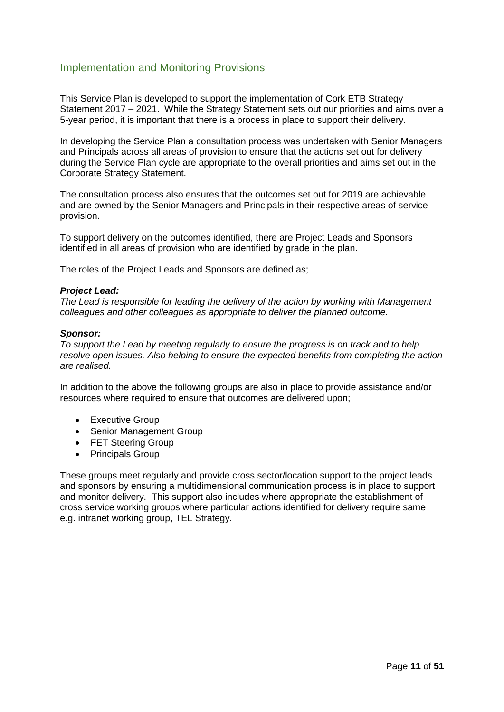#### <span id="page-10-0"></span>Implementation and Monitoring Provisions

This Service Plan is developed to support the implementation of Cork ETB Strategy Statement 2017 – 2021. While the Strategy Statement sets out our priorities and aims over a 5-year period, it is important that there is a process in place to support their delivery.

In developing the Service Plan a consultation process was undertaken with Senior Managers and Principals across all areas of provision to ensure that the actions set out for delivery during the Service Plan cycle are appropriate to the overall priorities and aims set out in the Corporate Strategy Statement.

The consultation process also ensures that the outcomes set out for 2019 are achievable and are owned by the Senior Managers and Principals in their respective areas of service provision.

To support delivery on the outcomes identified, there are Project Leads and Sponsors identified in all areas of provision who are identified by grade in the plan.

The roles of the Project Leads and Sponsors are defined as;

#### *Project Lead:*

*The Lead is responsible for leading the delivery of the action by working with Management colleagues and other colleagues as appropriate to deliver the planned outcome.* 

#### *Sponsor:*

*To support the Lead by meeting regularly to ensure the progress is on track and to help resolve open issues. Also helping to ensure the expected benefits from completing the action are realised.*

In addition to the above the following groups are also in place to provide assistance and/or resources where required to ensure that outcomes are delivered upon;

- Executive Group
- Senior Management Group
- FET Steering Group
- Principals Group

These groups meet regularly and provide cross sector/location support to the project leads and sponsors by ensuring a multidimensional communication process is in place to support and monitor delivery. This support also includes where appropriate the establishment of cross service working groups where particular actions identified for delivery require same e.g. intranet working group, TEL Strategy.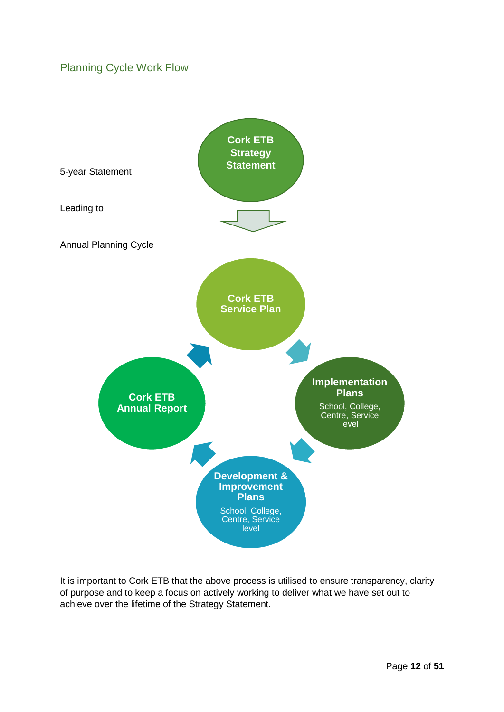### <span id="page-11-0"></span>Planning Cycle Work Flow



It is important to Cork ETB that the above process is utilised to ensure transparency, clarity of purpose and to keep a focus on actively working to deliver what we have set out to achieve over the lifetime of the Strategy Statement.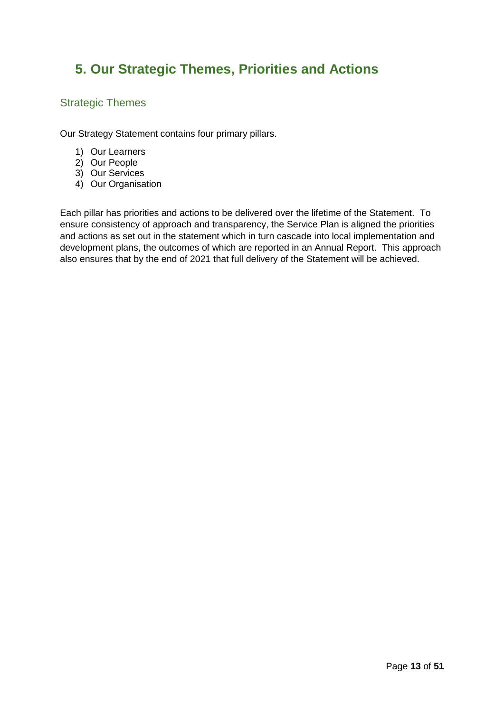## <span id="page-12-0"></span>**5. Our Strategic Themes, Priorities and Actions**

#### <span id="page-12-1"></span>Strategic Themes

Our Strategy Statement contains four primary pillars.

- 1) Our Learners
- 2) Our People
- 3) Our Services
- 4) Our Organisation

Each pillar has priorities and actions to be delivered over the lifetime of the Statement. To ensure consistency of approach and transparency, the Service Plan is aligned the priorities and actions as set out in the statement which in turn cascade into local implementation and development plans, the outcomes of which are reported in an Annual Report. This approach also ensures that by the end of 2021 that full delivery of the Statement will be achieved.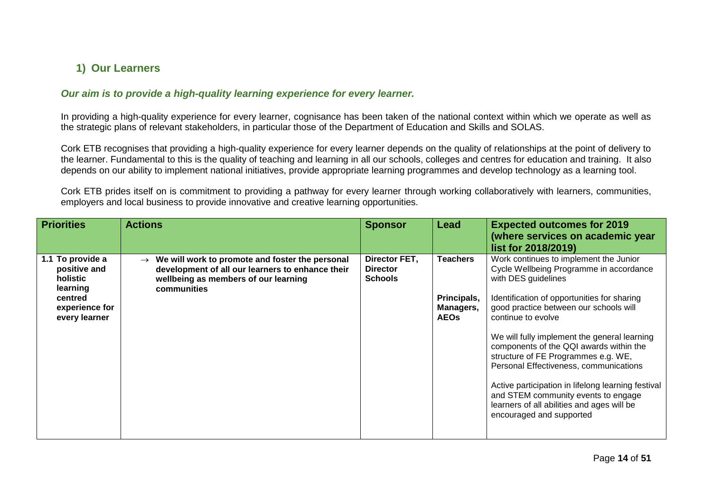### **1) Our Learners**

#### *Our aim is to provide a high-quality learning experience for every learner.*

In providing a high-quality experience for every learner, cognisance has been taken of the national context within which we operate as well as the strategic plans of relevant stakeholders, in particular those of the Department of Education and Skills and SOLAS.

Cork ETB recognises that providing a high-quality experience for every learner depends on the quality of relationships at the point of delivery to the learner. Fundamental to this is the quality of teaching and learning in all our schools, colleges and centres for education and training. It also depends on our ability to implement national initiatives, provide appropriate learning programmes and develop technology as a learning tool.

Cork ETB prides itself on is commitment to providing a pathway for every learner through working collaboratively with learners, communities, employers and local business to provide innovative and creative learning opportunities.

<span id="page-13-1"></span><span id="page-13-0"></span>

| <b>Priorities</b>                                                                                      | <b>Actions</b>                                                                                                                                                           | <b>Sponsor</b>                                     | Lead                                                       | <b>Expected outcomes for 2019</b><br>(where services on academic year<br>list for 2018/2019)                                                                                                                                                                                                                                                                                                                                                                                                                                                                               |
|--------------------------------------------------------------------------------------------------------|--------------------------------------------------------------------------------------------------------------------------------------------------------------------------|----------------------------------------------------|------------------------------------------------------------|----------------------------------------------------------------------------------------------------------------------------------------------------------------------------------------------------------------------------------------------------------------------------------------------------------------------------------------------------------------------------------------------------------------------------------------------------------------------------------------------------------------------------------------------------------------------------|
| 1.1 To provide a<br>positive and<br>holistic<br>learning<br>centred<br>experience for<br>every learner | $\rightarrow$ We will work to promote and foster the personal<br>development of all our learners to enhance their<br>wellbeing as members of our learning<br>communities | Director FET,<br><b>Director</b><br><b>Schools</b> | <b>Teachers</b><br>Principals,<br>Managers,<br><b>AEOs</b> | Work continues to implement the Junior<br>Cycle Wellbeing Programme in accordance<br>with DES guidelines<br>Identification of opportunities for sharing<br>good practice between our schools will<br>continue to evolve<br>We will fully implement the general learning<br>components of the QQI awards within the<br>structure of FE Programmes e.g. WE,<br>Personal Effectiveness, communications<br>Active participation in lifelong learning festival<br>and STEM community events to engage<br>learners of all abilities and ages will be<br>encouraged and supported |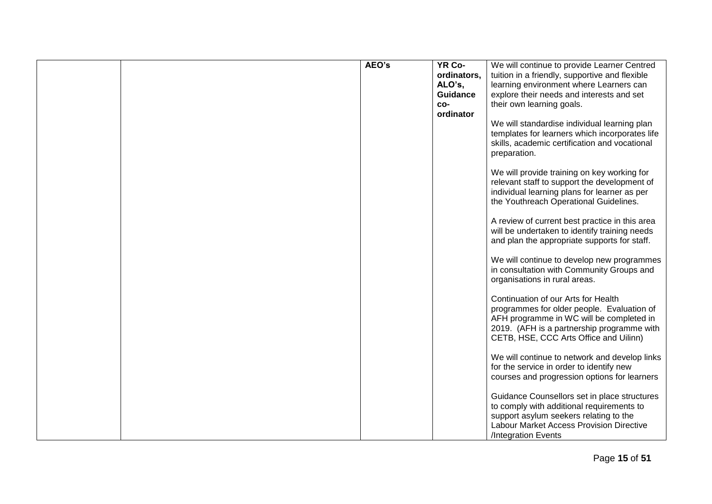|  | AEO's | YR Co-<br>ordinators,<br>ALO's,<br><b>Guidance</b><br>CO-<br>ordinator | We will continue to provide Learner Centred<br>tuition in a friendly, supportive and flexible<br>learning environment where Learners can<br>explore their needs and interests and set<br>their own learning goals.<br>We will standardise individual learning plan<br>templates for learners which incorporates life<br>skills, academic certification and vocational<br>preparation. |
|--|-------|------------------------------------------------------------------------|---------------------------------------------------------------------------------------------------------------------------------------------------------------------------------------------------------------------------------------------------------------------------------------------------------------------------------------------------------------------------------------|
|  |       |                                                                        | We will provide training on key working for<br>relevant staff to support the development of<br>individual learning plans for learner as per<br>the Youthreach Operational Guidelines.                                                                                                                                                                                                 |
|  |       |                                                                        | A review of current best practice in this area<br>will be undertaken to identify training needs<br>and plan the appropriate supports for staff.<br>We will continue to develop new programmes<br>in consultation with Community Groups and                                                                                                                                            |
|  |       |                                                                        | organisations in rural areas.<br>Continuation of our Arts for Health<br>programmes for older people. Evaluation of<br>AFH programme in WC will be completed in<br>2019. (AFH is a partnership programme with<br>CETB, HSE, CCC Arts Office and Uilinn)                                                                                                                                |
|  |       |                                                                        | We will continue to network and develop links<br>for the service in order to identify new<br>courses and progression options for learners<br>Guidance Counsellors set in place structures                                                                                                                                                                                             |
|  |       |                                                                        | to comply with additional requirements to<br>support asylum seekers relating to the<br><b>Labour Market Access Provision Directive</b><br>/Integration Events                                                                                                                                                                                                                         |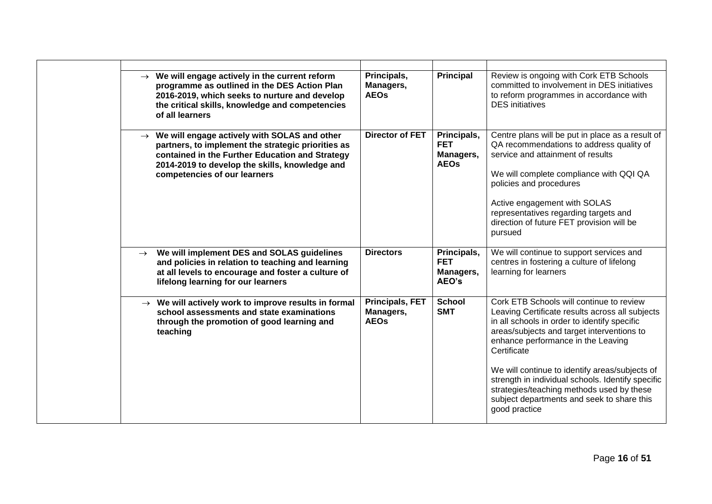|               | $\rightarrow$ We will engage actively in the current reform<br>programme as outlined in the DES Action Plan<br>2016-2019, which seeks to nurture and develop<br>the critical skills, knowledge and competencies<br>of all learners                    | Principals,<br>Managers,<br><b>AEOs</b>            | <b>Principal</b>                                      | Review is ongoing with Cork ETB Schools<br>committed to involvement in DES initiatives<br>to reform programmes in accordance with<br><b>DES</b> initiatives                                                                                                                                                                                                                                                                                                       |
|---------------|-------------------------------------------------------------------------------------------------------------------------------------------------------------------------------------------------------------------------------------------------------|----------------------------------------------------|-------------------------------------------------------|-------------------------------------------------------------------------------------------------------------------------------------------------------------------------------------------------------------------------------------------------------------------------------------------------------------------------------------------------------------------------------------------------------------------------------------------------------------------|
|               | $\rightarrow$ We will engage actively with SOLAS and other<br>partners, to implement the strategic priorities as<br>contained in the Further Education and Strategy<br>2014-2019 to develop the skills, knowledge and<br>competencies of our learners | <b>Director of FET</b>                             | Principals,<br><b>FET</b><br>Managers,<br><b>AEOs</b> | Centre plans will be put in place as a result of<br>QA recommendations to address quality of<br>service and attainment of results<br>We will complete compliance with QQI QA<br>policies and procedures<br>Active engagement with SOLAS<br>representatives regarding targets and<br>direction of future FET provision will be<br>pursued                                                                                                                          |
| $\rightarrow$ | We will implement DES and SOLAS guidelines<br>and policies in relation to teaching and learning<br>at all levels to encourage and foster a culture of<br>lifelong learning for our learners                                                           | <b>Directors</b>                                   | Principals,<br><b>FET</b><br>Managers,<br>AEO's       | We will continue to support services and<br>centres in fostering a culture of lifelong<br>learning for learners                                                                                                                                                                                                                                                                                                                                                   |
|               | $\rightarrow$ We will actively work to improve results in formal<br>school assessments and state examinations<br>through the promotion of good learning and<br>teaching                                                                               | <b>Principals, FET</b><br>Managers,<br><b>AEOs</b> | <b>School</b><br><b>SMT</b>                           | Cork ETB Schools will continue to review<br>Leaving Certificate results across all subjects<br>in all schools in order to identify specific<br>areas/subjects and target interventions to<br>enhance performance in the Leaving<br>Certificate<br>We will continue to identify areas/subjects of<br>strength in individual schools. Identify specific<br>strategies/teaching methods used by these<br>subject departments and seek to share this<br>good practice |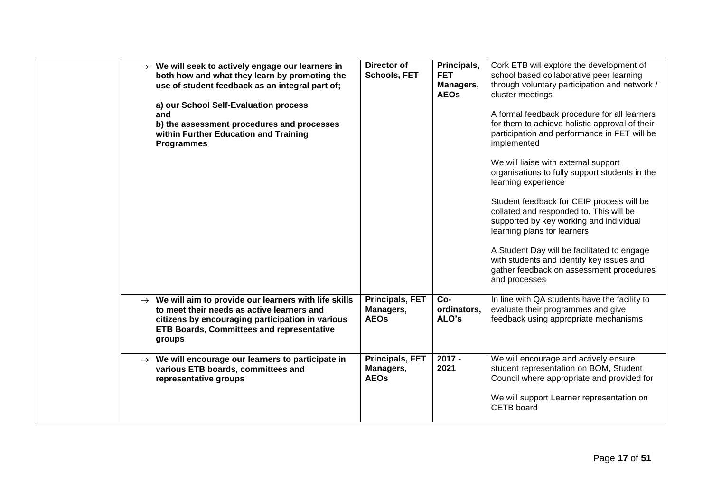| $\rightarrow$ We will seek to actively engage our learners in<br>both how and what they learn by promoting the<br>use of student feedback as an integral part of;<br>a) our School Self-Evaluation process<br>and<br>b) the assessment procedures and processes<br>within Further Education and Training<br><b>Programmes</b> | Director of<br>Schools, FET                        | Principals,<br><b>FET</b><br>Managers,<br><b>AEOs</b> | Cork ETB will explore the development of<br>school based collaborative peer learning<br>through voluntary participation and network /<br>cluster meetings<br>A formal feedback procedure for all learners<br>for them to achieve holistic approval of their<br>participation and performance in FET will be<br>implemented<br>We will liaise with external support<br>organisations to fully support students in the<br>learning experience<br>Student feedback for CEIP process will be<br>collated and responded to. This will be<br>supported by key working and individual<br>learning plans for learners<br>A Student Day will be facilitated to engage<br>with students and identify key issues and<br>gather feedback on assessment procedures<br>and processes |
|-------------------------------------------------------------------------------------------------------------------------------------------------------------------------------------------------------------------------------------------------------------------------------------------------------------------------------|----------------------------------------------------|-------------------------------------------------------|------------------------------------------------------------------------------------------------------------------------------------------------------------------------------------------------------------------------------------------------------------------------------------------------------------------------------------------------------------------------------------------------------------------------------------------------------------------------------------------------------------------------------------------------------------------------------------------------------------------------------------------------------------------------------------------------------------------------------------------------------------------------|
| $\rightarrow$ We will aim to provide our learners with life skills<br>to meet their needs as active learners and<br>citizens by encouraging participation in various<br><b>ETB Boards, Committees and representative</b><br>groups                                                                                            | <b>Principals, FET</b><br>Managers,<br><b>AEOs</b> | $Co-$<br>ordinators.<br>ALO's                         | In line with QA students have the facility to<br>evaluate their programmes and give<br>feedback using appropriate mechanisms                                                                                                                                                                                                                                                                                                                                                                                                                                                                                                                                                                                                                                           |
| $\rightarrow$ We will encourage our learners to participate in<br>various ETB boards, committees and<br>representative groups                                                                                                                                                                                                 | <b>Principals, FET</b><br>Managers,<br><b>AEOs</b> | $2017 -$<br>2021                                      | We will encourage and actively ensure<br>student representation on BOM, Student<br>Council where appropriate and provided for<br>We will support Learner representation on<br>CETB board                                                                                                                                                                                                                                                                                                                                                                                                                                                                                                                                                                               |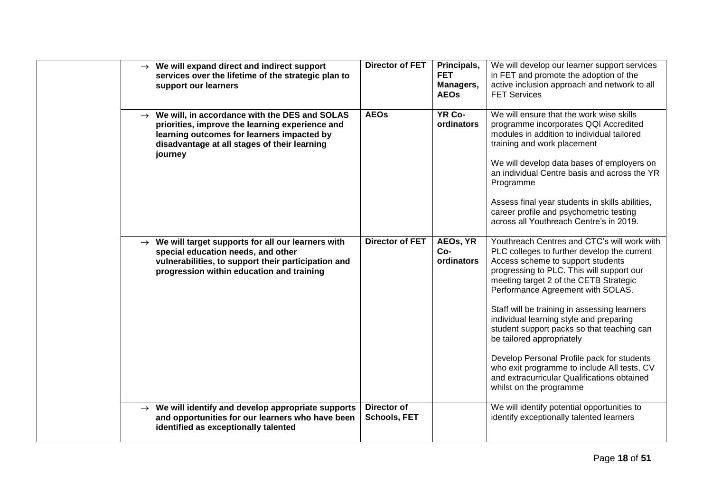|  | $\rightarrow$ We will expand direct and indirect support<br>services over the lifetime of the strategic plan to<br>support our learners                                                                                 | <b>Director of FET</b>                    | Principals,<br><b>FET</b><br>Managers,<br><b>AEOs</b> | We will develop our learner support services<br>in FET and promote the adoption of the<br>active inclusion approach and network to all<br><b>FET Services</b>                                                                                                                                                                                                                                                                                                                                                                                                                                            |
|--|-------------------------------------------------------------------------------------------------------------------------------------------------------------------------------------------------------------------------|-------------------------------------------|-------------------------------------------------------|----------------------------------------------------------------------------------------------------------------------------------------------------------------------------------------------------------------------------------------------------------------------------------------------------------------------------------------------------------------------------------------------------------------------------------------------------------------------------------------------------------------------------------------------------------------------------------------------------------|
|  | $\rightarrow$ We will, in accordance with the DES and SOLAS<br>priorities, improve the learning experience and<br>learning outcomes for learners impacted by<br>disadvantage at all stages of their learning<br>journey | <b>AEOs</b>                               | YR Co-<br>ordinators                                  | We will ensure that the work wise skills<br>programme incorporates QQI Accredited<br>modules in addition to individual tailored<br>training and work placement<br>We will develop data bases of employers on<br>an individual Centre basis and across the YR<br>Programme<br>Assess final year students in skills abilities,<br>career profile and psychometric testing<br>across all Youthreach Centre's in 2019.                                                                                                                                                                                       |
|  | $\rightarrow$ We will target supports for all our learners with<br>special education needs, and other<br>vulnerabilities, to support their participation and<br>progression within education and training               | <b>Director of FET</b>                    | AEOs, YR<br>Co-<br>ordinators                         | Youthreach Centres and CTC's will work with<br>PLC colleges to further develop the current<br>Access scheme to support students<br>progressing to PLC. This will support our<br>meeting target 2 of the CETB Strategic<br>Performance Agreement with SOLAS.<br>Staff will be training in assessing learners<br>individual learning style and preparing<br>student support packs so that teaching can<br>be tailored appropriately<br>Develop Personal Profile pack for students<br>who exit programme to include All tests, CV<br>and extracurricular Qualifications obtained<br>whilst on the programme |
|  | $\rightarrow$ We will identify and develop appropriate supports<br>and opportunities for our learners who have been<br>identified as exceptionally talented                                                             | <b>Director of</b><br><b>Schools, FET</b> |                                                       | We will identify potential opportunities to<br>identify exceptionally talented learners                                                                                                                                                                                                                                                                                                                                                                                                                                                                                                                  |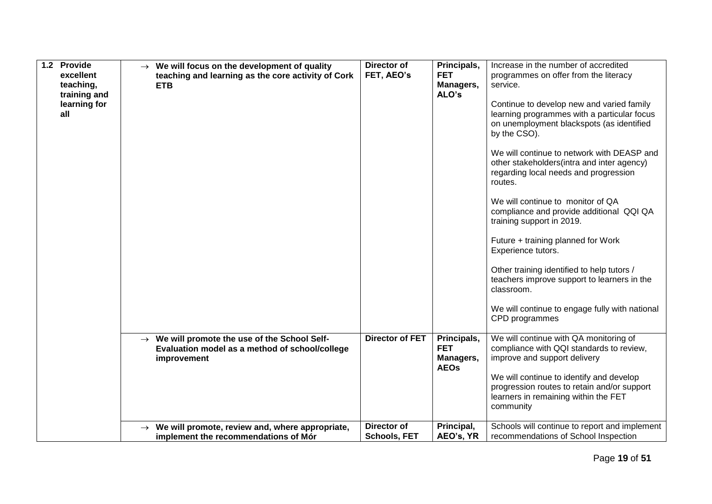| 1.2 Provide<br>excellent<br>teaching,<br>training and<br>learning for<br>all | $\rightarrow$ We will focus on the development of quality<br>teaching and learning as the core activity of Cork<br><b>ETB</b> | Director of<br>FET, AEO's          | Principals,<br><b>FET</b><br>Managers,<br>ALO's       | Increase in the number of accredited<br>programmes on offer from the literacy<br>service.<br>Continue to develop new and varied family<br>learning programmes with a particular focus<br>on unemployment blackspots (as identified<br>by the CSO).<br>We will continue to network with DEASP and<br>other stakeholders (intra and inter agency)<br>regarding local needs and progression<br>routes.<br>We will continue to monitor of QA<br>compliance and provide additional QQI QA<br>training support in 2019.<br>Future + training planned for Work<br>Experience tutors.<br>Other training identified to help tutors /<br>teachers improve support to learners in the<br>classroom.<br>We will continue to engage fully with national<br>CPD programmes |
|------------------------------------------------------------------------------|-------------------------------------------------------------------------------------------------------------------------------|------------------------------------|-------------------------------------------------------|--------------------------------------------------------------------------------------------------------------------------------------------------------------------------------------------------------------------------------------------------------------------------------------------------------------------------------------------------------------------------------------------------------------------------------------------------------------------------------------------------------------------------------------------------------------------------------------------------------------------------------------------------------------------------------------------------------------------------------------------------------------|
|                                                                              | $\rightarrow$ We will promote the use of the School Self-<br>Evaluation model as a method of school/college<br>improvement    | <b>Director of FET</b>             | Principals,<br><b>FET</b><br>Managers,<br><b>AEOs</b> | We will continue with QA monitoring of<br>compliance with QQI standards to review,<br>improve and support delivery<br>We will continue to identify and develop<br>progression routes to retain and/or support<br>learners in remaining within the FET<br>community                                                                                                                                                                                                                                                                                                                                                                                                                                                                                           |
|                                                                              | $\rightarrow$ We will promote, review and, where appropriate,<br>implement the recommendations of Mór                         | Director of<br><b>Schools, FET</b> | Principal,<br>AEO's, YR                               | Schools will continue to report and implement<br>recommendations of School Inspection                                                                                                                                                                                                                                                                                                                                                                                                                                                                                                                                                                                                                                                                        |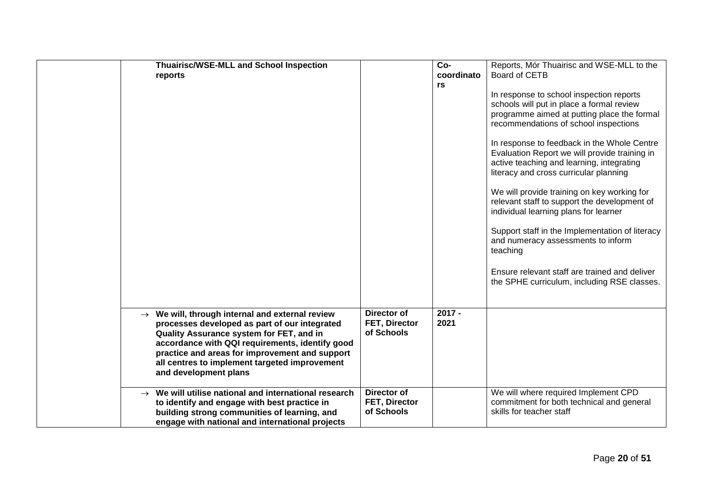| <b>Thuairisc/WSE-MLL and School Inspection</b><br>reports                                                                                                                                                                                                                                                                               |                                            | Co-<br>coordinato<br>rs | Reports, Mór Thuairisc and WSE-MLL to the<br>Board of CETB<br>In response to school inspection reports<br>schools will put in place a formal review<br>programme aimed at putting place the formal<br>recommendations of school inspections<br>In response to feedback in the Whole Centre<br>Evaluation Report we will provide training in<br>active teaching and learning, integrating<br>literacy and cross curricular planning<br>We will provide training on key working for<br>relevant staff to support the development of<br>individual learning plans for learner<br>Support staff in the Implementation of literacy<br>and numeracy assessments to inform<br>teaching<br>Ensure relevant staff are trained and deliver<br>the SPHE curriculum, including RSE classes. |
|-----------------------------------------------------------------------------------------------------------------------------------------------------------------------------------------------------------------------------------------------------------------------------------------------------------------------------------------|--------------------------------------------|-------------------------|---------------------------------------------------------------------------------------------------------------------------------------------------------------------------------------------------------------------------------------------------------------------------------------------------------------------------------------------------------------------------------------------------------------------------------------------------------------------------------------------------------------------------------------------------------------------------------------------------------------------------------------------------------------------------------------------------------------------------------------------------------------------------------|
| $\rightarrow$ We will, through internal and external review<br>processes developed as part of our integrated<br>Quality Assurance system for FET, and in<br>accordance with QQI requirements, identify good<br>practice and areas for improvement and support<br>all centres to implement targeted improvement<br>and development plans | Director of<br>FET, Director<br>of Schools | $2017 -$<br>2021        |                                                                                                                                                                                                                                                                                                                                                                                                                                                                                                                                                                                                                                                                                                                                                                                 |
| $\rightarrow$ We will utilise national and international research<br>to identify and engage with best practice in<br>building strong communities of learning, and<br>engage with national and international projects                                                                                                                    | Director of<br>FET, Director<br>of Schools |                         | We will where required Implement CPD<br>commitment for both technical and general<br>skills for teacher staff                                                                                                                                                                                                                                                                                                                                                                                                                                                                                                                                                                                                                                                                   |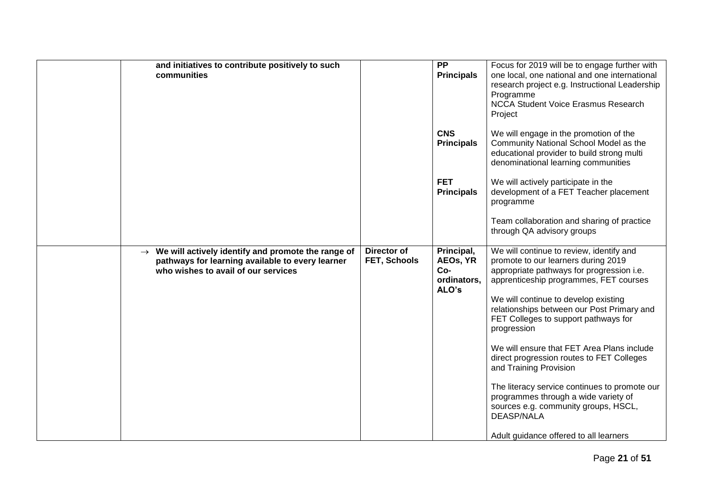| and initiatives to contribute positively to such<br>communities                                                                                             |                             | <b>PP</b><br><b>Principals</b><br><b>CNS</b><br><b>Principals</b><br><b>FET</b><br><b>Principals</b> | Focus for 2019 will be to engage further with<br>one local, one national and one international<br>research project e.g. Instructional Leadership<br>Programme<br><b>NCCA Student Voice Erasmus Research</b><br>Project<br>We will engage in the promotion of the<br>Community National School Model as the<br>educational provider to build strong multi<br>denominational learning communities<br>We will actively participate in the<br>development of a FET Teacher placement<br>programme<br>Team collaboration and sharing of practice                                                                                              |
|-------------------------------------------------------------------------------------------------------------------------------------------------------------|-----------------------------|------------------------------------------------------------------------------------------------------|------------------------------------------------------------------------------------------------------------------------------------------------------------------------------------------------------------------------------------------------------------------------------------------------------------------------------------------------------------------------------------------------------------------------------------------------------------------------------------------------------------------------------------------------------------------------------------------------------------------------------------------|
|                                                                                                                                                             |                             |                                                                                                      | through QA advisory groups                                                                                                                                                                                                                                                                                                                                                                                                                                                                                                                                                                                                               |
| $\rightarrow$ We will actively identify and promote the range of<br>pathways for learning available to every learner<br>who wishes to avail of our services | Director of<br>FET, Schools | Principal,<br>AEOs, YR<br>$Co-$<br>ordinators.<br>ALO's                                              | We will continue to review, identify and<br>promote to our learners during 2019<br>appropriate pathways for progression i.e.<br>apprenticeship programmes, FET courses<br>We will continue to develop existing<br>relationships between our Post Primary and<br>FET Colleges to support pathways for<br>progression<br>We will ensure that FET Area Plans include<br>direct progression routes to FET Colleges<br>and Training Provision<br>The literacy service continues to promote our<br>programmes through a wide variety of<br>sources e.g. community groups, HSCL,<br><b>DEASP/NALA</b><br>Adult guidance offered to all learners |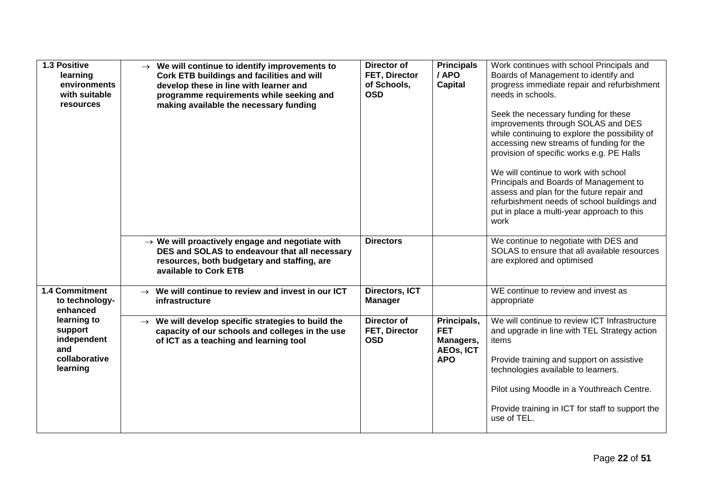| 1.3 Positive<br>learning<br>environments<br>with suitable<br>resources    | We will continue to identify improvements to<br>$\rightarrow$<br>Cork ETB buildings and facilities and will<br>develop these in line with learner and<br>programme requirements while seeking and<br>making available the necessary funding | Director of<br>FET, Director<br>of Schools,<br><b>OSD</b> | <b>Principals</b><br>/ APO<br><b>Capital</b>                             | Work continues with school Principals and<br>Boards of Management to identify and<br>progress immediate repair and refurbishment<br>needs in schools.<br>Seek the necessary funding for these<br>improvements through SOLAS and DES<br>while continuing to explore the possibility of<br>accessing new streams of funding for the<br>provision of specific works e.g. PE Halls<br>We will continue to work with school<br>Principals and Boards of Management to<br>assess and plan for the future repair and<br>refurbishment needs of school buildings and<br>put in place a multi-year approach to this<br>work |
|---------------------------------------------------------------------------|---------------------------------------------------------------------------------------------------------------------------------------------------------------------------------------------------------------------------------------------|-----------------------------------------------------------|--------------------------------------------------------------------------|--------------------------------------------------------------------------------------------------------------------------------------------------------------------------------------------------------------------------------------------------------------------------------------------------------------------------------------------------------------------------------------------------------------------------------------------------------------------------------------------------------------------------------------------------------------------------------------------------------------------|
|                                                                           | $\rightarrow$ We will proactively engage and negotiate with<br>DES and SOLAS to endeavour that all necessary<br>resources, both budgetary and staffing, are<br>available to Cork ETB                                                        | <b>Directors</b>                                          |                                                                          | We continue to negotiate with DES and<br>SOLAS to ensure that all available resources<br>are explored and optimised                                                                                                                                                                                                                                                                                                                                                                                                                                                                                                |
| 1.4 Commitment<br>to technology-<br>enhanced                              | We will continue to review and invest in our ICT<br>$\rightarrow$<br>infrastructure                                                                                                                                                         | Directors, ICT<br><b>Manager</b>                          |                                                                          | WE continue to review and invest as<br>appropriate                                                                                                                                                                                                                                                                                                                                                                                                                                                                                                                                                                 |
| learning to<br>support<br>independent<br>and<br>collaborative<br>learning | We will develop specific strategies to build the<br>$\rightarrow$<br>capacity of our schools and colleges in the use<br>of ICT as a teaching and learning tool                                                                              | Director of<br>FET, Director<br><b>OSD</b>                | Principals,<br><b>FET</b><br>Managers,<br><b>AEOs, ICT</b><br><b>APO</b> | We will continue to review ICT Infrastructure<br>and upgrade in line with TEL Strategy action<br>items<br>Provide training and support on assistive<br>technologies available to learners.<br>Pilot using Moodle in a Youthreach Centre.<br>Provide training in ICT for staff to support the<br>use of TEL.                                                                                                                                                                                                                                                                                                        |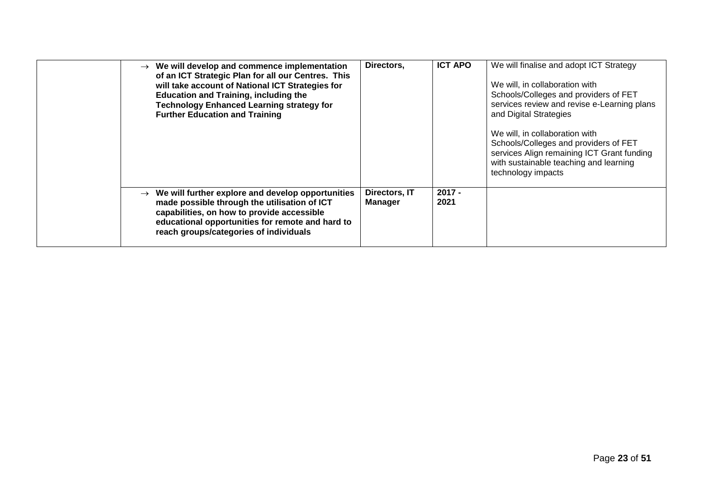| $\rightarrow$ We will develop and commence implementation<br>of an ICT Strategic Plan for all our Centres. This<br>will take account of National ICT Strategies for<br><b>Education and Training, including the</b><br><b>Technology Enhanced Learning strategy for</b><br><b>Further Education and Training</b> | Directors,               | <b>ICT APO</b>   | We will finalise and adopt ICT Strategy<br>We will, in collaboration with<br>Schools/Colleges and providers of FET<br>services review and revise e-Learning plans<br>and Digital Strategies<br>We will, in collaboration with<br>Schools/Colleges and providers of FET<br>services Align remaining ICT Grant funding<br>with sustainable teaching and learning<br>technology impacts |
|------------------------------------------------------------------------------------------------------------------------------------------------------------------------------------------------------------------------------------------------------------------------------------------------------------------|--------------------------|------------------|--------------------------------------------------------------------------------------------------------------------------------------------------------------------------------------------------------------------------------------------------------------------------------------------------------------------------------------------------------------------------------------|
| $\rightarrow$ We will further explore and develop opportunities<br>made possible through the utilisation of ICT<br>capabilities, on how to provide accessible<br>educational opportunities for remote and hard to<br>reach groups/categories of individuals                                                      | Directors, IT<br>Manager | $2017 -$<br>2021 |                                                                                                                                                                                                                                                                                                                                                                                      |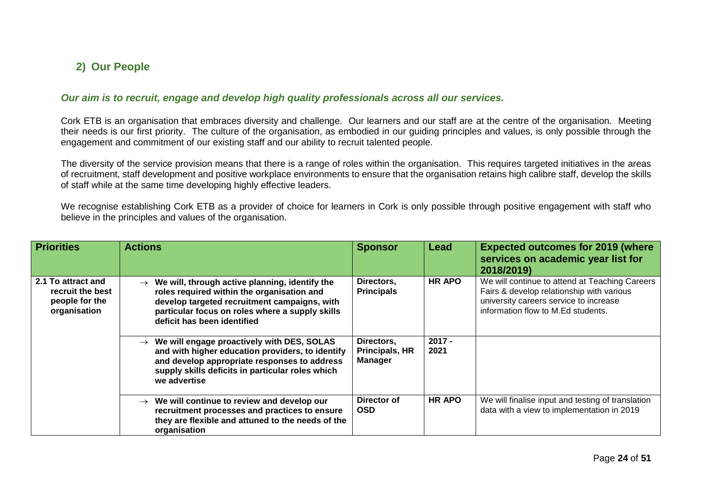### **2) Our People**

#### *Our aim is to recruit, engage and develop high quality professionals across all our services.*

Cork ETB is an organisation that embraces diversity and challenge. Our learners and our staff are at the centre of the organisation. Meeting their needs is our first priority. The culture of the organisation, as embodied in our guiding principles and values, is only possible through the engagement and commitment of our existing staff and our ability to recruit talented people.

The diversity of the service provision means that there is a range of roles within the organisation. This requires targeted initiatives in the areas of recruitment, staff development and positive workplace environments to ensure that the organisation retains high calibre staff, develop the skills of staff while at the same time developing highly effective leaders.

We recognise establishing Cork ETB as a provider of choice for learners in Cork is only possible through positive engagement with staff who believe in the principles and values of the organisation.

<span id="page-23-1"></span><span id="page-23-0"></span>

| <b>Priorities</b>                                                        | <b>Actions</b>                                                                                                                                                                                                                      | <b>Sponsor</b>                                 | Lead             | <b>Expected outcomes for 2019 (where</b><br>services on academic year list for<br>2018/2019)                                                                                |
|--------------------------------------------------------------------------|-------------------------------------------------------------------------------------------------------------------------------------------------------------------------------------------------------------------------------------|------------------------------------------------|------------------|-----------------------------------------------------------------------------------------------------------------------------------------------------------------------------|
| 2.1 To attract and<br>recruit the best<br>people for the<br>organisation | We will, through active planning, identify the<br>roles required within the organisation and<br>develop targeted recruitment campaigns, with<br>particular focus on roles where a supply skills<br>deficit has been identified      | Directors,<br><b>Principals</b>                | HR APO           | We will continue to attend at Teaching Careers<br>Fairs & develop relationship with various<br>university careers service to increase<br>information flow to M.Ed students. |
|                                                                          | We will engage proactively with DES, SOLAS<br>$\rightarrow$<br>and with higher education providers, to identify<br>and develop appropriate responses to address<br>supply skills deficits in particular roles which<br>we advertise | Directors,<br>Principals, HR<br><b>Manager</b> | $2017 -$<br>2021 |                                                                                                                                                                             |
|                                                                          | We will continue to review and develop our<br>$\rightarrow$<br>recruitment processes and practices to ensure<br>they are flexible and attuned to the needs of the<br>organisation                                                   | Director of<br><b>OSD</b>                      | <b>HR APO</b>    | We will finalise input and testing of translation<br>data with a view to implementation in 2019                                                                             |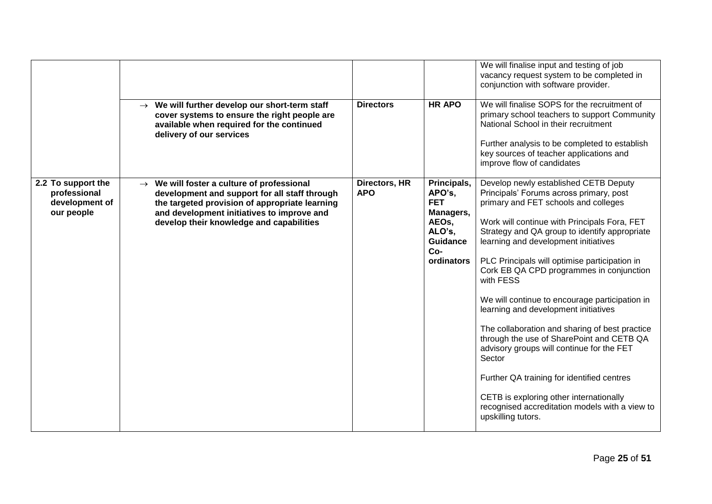|                                                                    |                                                                                                                                                                                                                                                     |                             |                                                                                                               | We will finalise input and testing of job<br>vacancy request system to be completed in<br>conjunction with software provider.                                                                                                                                                                                                                                                                                                                                                                                                                                                                                                                                                                                                                                                                |
|--------------------------------------------------------------------|-----------------------------------------------------------------------------------------------------------------------------------------------------------------------------------------------------------------------------------------------------|-----------------------------|---------------------------------------------------------------------------------------------------------------|----------------------------------------------------------------------------------------------------------------------------------------------------------------------------------------------------------------------------------------------------------------------------------------------------------------------------------------------------------------------------------------------------------------------------------------------------------------------------------------------------------------------------------------------------------------------------------------------------------------------------------------------------------------------------------------------------------------------------------------------------------------------------------------------|
|                                                                    | $\rightarrow$ We will further develop our short-term staff<br>cover systems to ensure the right people are<br>available when required for the continued<br>delivery of our services                                                                 | <b>Directors</b>            | <b>HR APO</b>                                                                                                 | We will finalise SOPS for the recruitment of<br>primary school teachers to support Community<br>National School in their recruitment<br>Further analysis to be completed to establish<br>key sources of teacher applications and<br>improve flow of candidates                                                                                                                                                                                                                                                                                                                                                                                                                                                                                                                               |
| 2.2 To support the<br>professional<br>development of<br>our people | $\rightarrow$ We will foster a culture of professional<br>development and support for all staff through<br>the targeted provision of appropriate learning<br>and development initiatives to improve and<br>develop their knowledge and capabilities | Directors, HR<br><b>APO</b> | Principals,<br>APO's,<br><b>FET</b><br>Managers,<br>AEOs,<br>ALO's,<br><b>Guidance</b><br>$Co-$<br>ordinators | Develop newly established CETB Deputy<br>Principals' Forums across primary, post<br>primary and FET schools and colleges<br>Work will continue with Principals Fora, FET<br>Strategy and QA group to identify appropriate<br>learning and development initiatives<br>PLC Principals will optimise participation in<br>Cork EB QA CPD programmes in conjunction<br>with FESS<br>We will continue to encourage participation in<br>learning and development initiatives<br>The collaboration and sharing of best practice<br>through the use of SharePoint and CETB QA<br>advisory groups will continue for the FET<br>Sector<br>Further QA training for identified centres<br>CETB is exploring other internationally<br>recognised accreditation models with a view to<br>upskilling tutors. |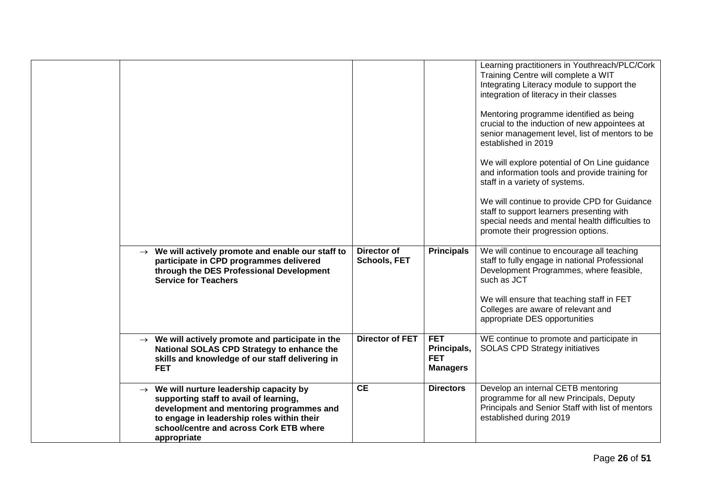|                                                                                                                                                                                                                                                    |                             |                                                            | Learning practitioners in Youthreach/PLC/Cork<br>Training Centre will complete a WIT<br>Integrating Literacy module to support the<br>integration of literacy in their classes<br>Mentoring programme identified as being<br>crucial to the induction of new appointees at<br>senior management level, list of mentors to be<br>established in 2019<br>We will explore potential of On Line guidance<br>and information tools and provide training for<br>staff in a variety of systems.<br>We will continue to provide CPD for Guidance<br>staff to support learners presenting with<br>special needs and mental health difficulties to<br>promote their progression options. |
|----------------------------------------------------------------------------------------------------------------------------------------------------------------------------------------------------------------------------------------------------|-----------------------------|------------------------------------------------------------|--------------------------------------------------------------------------------------------------------------------------------------------------------------------------------------------------------------------------------------------------------------------------------------------------------------------------------------------------------------------------------------------------------------------------------------------------------------------------------------------------------------------------------------------------------------------------------------------------------------------------------------------------------------------------------|
| $\rightarrow$ We will actively promote and enable our staff to<br>participate in CPD programmes delivered<br>through the DES Professional Development<br><b>Service for Teachers</b>                                                               | Director of<br>Schools, FET | <b>Principals</b>                                          | We will continue to encourage all teaching<br>staff to fully engage in national Professional<br>Development Programmes, where feasible,<br>such as JCT<br>We will ensure that teaching staff in FET<br>Colleges are aware of relevant and<br>appropriate DES opportunities                                                                                                                                                                                                                                                                                                                                                                                                     |
| $\rightarrow$ We will actively promote and participate in the<br>National SOLAS CPD Strategy to enhance the<br>skills and knowledge of our staff delivering in<br><b>FET</b>                                                                       | <b>Director of FET</b>      | <b>FET</b><br>Principals,<br><b>FET</b><br><b>Managers</b> | WE continue to promote and participate in<br><b>SOLAS CPD Strategy initiatives</b>                                                                                                                                                                                                                                                                                                                                                                                                                                                                                                                                                                                             |
| $\rightarrow$ We will nurture leadership capacity by<br>supporting staff to avail of learning,<br>development and mentoring programmes and<br>to engage in leadership roles within their<br>school/centre and across Cork ETB where<br>appropriate | <b>CE</b>                   | <b>Directors</b>                                           | Develop an internal CETB mentoring<br>programme for all new Principals, Deputy<br>Principals and Senior Staff with list of mentors<br>established during 2019                                                                                                                                                                                                                                                                                                                                                                                                                                                                                                                  |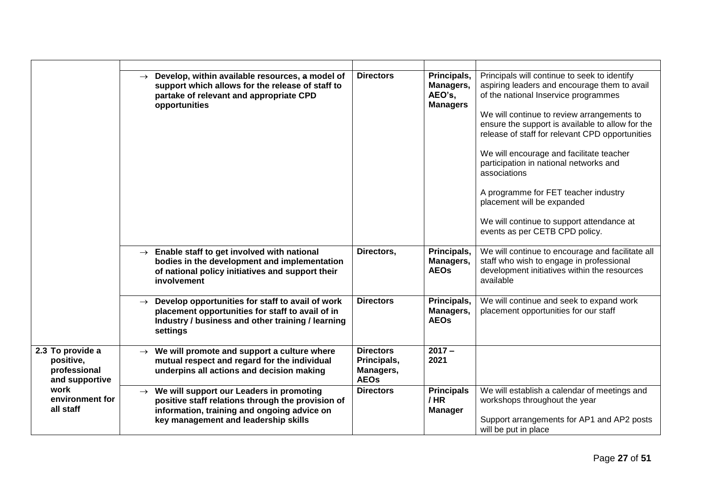|                                                                 | Develop, within available resources, a model of<br>$\rightarrow$<br>support which allows for the release of staff to<br>partake of relevant and appropriate CPD<br>opportunities                   | <b>Directors</b>                                            | Principals,<br>Managers,<br>AEO's,<br><b>Managers</b> | Principals will continue to seek to identify<br>aspiring leaders and encourage them to avail<br>of the national Inservice programmes<br>We will continue to review arrangements to<br>ensure the support is available to allow for the<br>release of staff for relevant CPD opportunities<br>We will encourage and facilitate teacher<br>participation in national networks and<br>associations<br>A programme for FET teacher industry<br>placement will be expanded<br>We will continue to support attendance at<br>events as per CETB CPD policy. |
|-----------------------------------------------------------------|----------------------------------------------------------------------------------------------------------------------------------------------------------------------------------------------------|-------------------------------------------------------------|-------------------------------------------------------|------------------------------------------------------------------------------------------------------------------------------------------------------------------------------------------------------------------------------------------------------------------------------------------------------------------------------------------------------------------------------------------------------------------------------------------------------------------------------------------------------------------------------------------------------|
|                                                                 | $\rightarrow$ Enable staff to get involved with national<br>bodies in the development and implementation<br>of national policy initiatives and support their<br>involvement                        | Directors,                                                  | Principals,<br>Managers,<br><b>AEOs</b>               | We will continue to encourage and facilitate all<br>staff who wish to engage in professional<br>development initiatives within the resources<br>available                                                                                                                                                                                                                                                                                                                                                                                            |
|                                                                 | Develop opportunities for staff to avail of work<br>$\rightarrow$<br>placement opportunities for staff to avail of in<br>Industry / business and other training / learning<br>settings             | <b>Directors</b>                                            | Principals,<br>Managers,<br><b>AEOs</b>               | We will continue and seek to expand work<br>placement opportunities for our staff                                                                                                                                                                                                                                                                                                                                                                                                                                                                    |
| 2.3 To provide a<br>positive,<br>professional<br>and supportive | We will promote and support a culture where<br>mutual respect and regard for the individual<br>underpins all actions and decision making                                                           | <b>Directors</b><br>Principals,<br>Managers,<br><b>AEOs</b> | $2017 -$<br>2021                                      |                                                                                                                                                                                                                                                                                                                                                                                                                                                                                                                                                      |
| work<br>environment for<br>all staff                            | $\rightarrow$ We will support our Leaders in promoting<br>positive staff relations through the provision of<br>information, training and ongoing advice on<br>key management and leadership skills | <b>Directors</b>                                            | <b>Principals</b><br>/HR<br><b>Manager</b>            | We will establish a calendar of meetings and<br>workshops throughout the year<br>Support arrangements for AP1 and AP2 posts<br>will be put in place                                                                                                                                                                                                                                                                                                                                                                                                  |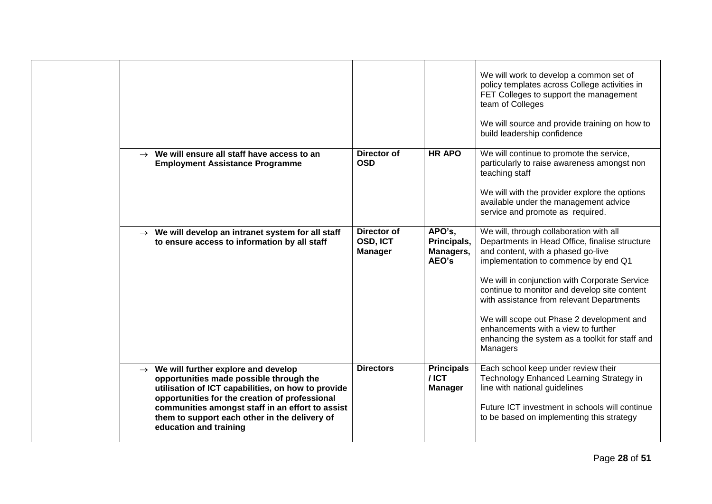|                                                                                                                                                                                                                                                                                                                                     |                                           |                                                | We will work to develop a common set of<br>policy templates across College activities in<br>FET Colleges to support the management<br>team of Colleges<br>We will source and provide training on how to<br>build leadership confidence                                                                                                                                                                                                                                   |
|-------------------------------------------------------------------------------------------------------------------------------------------------------------------------------------------------------------------------------------------------------------------------------------------------------------------------------------|-------------------------------------------|------------------------------------------------|--------------------------------------------------------------------------------------------------------------------------------------------------------------------------------------------------------------------------------------------------------------------------------------------------------------------------------------------------------------------------------------------------------------------------------------------------------------------------|
| $\rightarrow$ We will ensure all staff have access to an<br><b>Employment Assistance Programme</b>                                                                                                                                                                                                                                  | <b>Director of</b><br><b>OSD</b>          | <b>HR APO</b>                                  | We will continue to promote the service,<br>particularly to raise awareness amongst non<br>teaching staff<br>We will with the provider explore the options<br>available under the management advice<br>service and promote as required.                                                                                                                                                                                                                                  |
| $\rightarrow$ We will develop an intranet system for all staff<br>to ensure access to information by all staff                                                                                                                                                                                                                      | Director of<br>OSD, ICT<br><b>Manager</b> | APO's,<br>Principals,<br>Managers,<br>AEO's    | We will, through collaboration with all<br>Departments in Head Office, finalise structure<br>and content, with a phased go-live<br>implementation to commence by end Q1<br>We will in conjunction with Corporate Service<br>continue to monitor and develop site content<br>with assistance from relevant Departments<br>We will scope out Phase 2 development and<br>enhancements with a view to further<br>enhancing the system as a toolkit for staff and<br>Managers |
| $\rightarrow$ We will further explore and develop<br>opportunities made possible through the<br>utilisation of ICT capabilities, on how to provide<br>opportunities for the creation of professional<br>communities amongst staff in an effort to assist<br>them to support each other in the delivery of<br>education and training | <b>Directors</b>                          | <b>Principals</b><br>$/$ ICT<br><b>Manager</b> | Each school keep under review their<br>Technology Enhanced Learning Strategy in<br>line with national guidelines<br>Future ICT investment in schools will continue<br>to be based on implementing this strategy                                                                                                                                                                                                                                                          |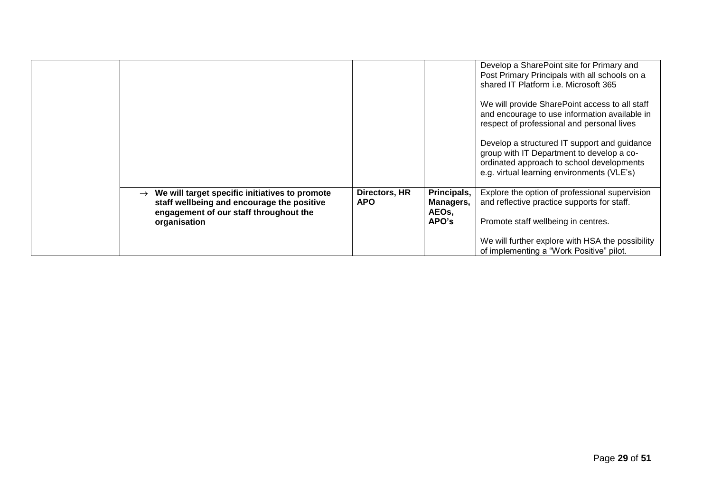|                                                                                                                                        |                             |                                   | Develop a SharePoint site for Primary and<br>Post Primary Principals with all schools on a<br>shared IT Platform <i>i.e.</i> Microsoft 365                                           |
|----------------------------------------------------------------------------------------------------------------------------------------|-----------------------------|-----------------------------------|--------------------------------------------------------------------------------------------------------------------------------------------------------------------------------------|
|                                                                                                                                        |                             |                                   | We will provide SharePoint access to all staff<br>and encourage to use information available in<br>respect of professional and personal lives                                        |
|                                                                                                                                        |                             |                                   | Develop a structured IT support and guidance<br>group with IT Department to develop a co-<br>ordinated approach to school developments<br>e.g. virtual learning environments (VLE's) |
| We will target specific initiatives to promote<br>staff wellbeing and encourage the positive<br>engagement of our staff throughout the | Directors, HR<br><b>APO</b> | Principals,<br>Managers,<br>AEOs, | Explore the option of professional supervision<br>and reflective practice supports for staff.                                                                                        |
| organisation                                                                                                                           |                             | APO's                             | Promote staff wellbeing in centres.<br>We will further explore with HSA the possibility<br>of implementing a "Work Positive" pilot.                                                  |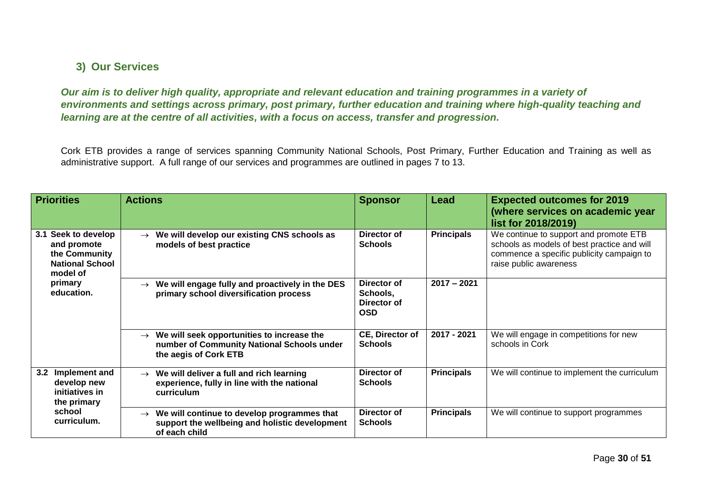#### **3) Our Services**

*Our aim is to deliver high quality, appropriate and relevant education and training programmes in a variety of environments and settings across primary, post primary, further education and training where high-quality teaching and learning are at the centre of all activities, with a focus on access, transfer and progression.*

Cork ETB provides a range of services spanning Community National Schools, Post Primary, Further Education and Training as well as administrative support. A full range of our services and programmes are outlined in pages 7 to 13.

<span id="page-29-1"></span><span id="page-29-0"></span>

| <b>Priorities</b>                                                                                                     | <b>Actions</b>                                                                                                                     | <b>Sponsor</b>                                       | Lead              | <b>Expected outcomes for 2019</b><br>(where services on academic year<br>list for 2018/2019)                                                                 |
|-----------------------------------------------------------------------------------------------------------------------|------------------------------------------------------------------------------------------------------------------------------------|------------------------------------------------------|-------------------|--------------------------------------------------------------------------------------------------------------------------------------------------------------|
| Seek to develop<br>3.1<br>and promote<br>the Community<br><b>National School</b><br>model of<br>primary<br>education. | We will develop our existing CNS schools as<br>$\rightarrow$<br>models of best practice                                            | Director of<br><b>Schools</b>                        | <b>Principals</b> | We continue to support and promote ETB<br>schools as models of best practice and will<br>commence a specific publicity campaign to<br>raise public awareness |
|                                                                                                                       | We will engage fully and proactively in the DES<br>$\rightarrow$<br>primary school diversification process                         | Director of<br>Schools,<br>Director of<br><b>OSD</b> | $2017 - 2021$     |                                                                                                                                                              |
|                                                                                                                       | We will seek opportunities to increase the<br>$\rightarrow$<br>number of Community National Schools under<br>the aegis of Cork ETB | CE, Director of<br><b>Schools</b>                    | 2017 - 2021       | We will engage in competitions for new<br>schools in Cork                                                                                                    |
| Implement and<br>3.2<br>develop new<br>initiatives in<br>the primary<br>school<br>curriculum.                         | We will deliver a full and rich learning<br>$\rightarrow$<br>experience, fully in line with the national<br>curriculum             | Director of<br><b>Schools</b>                        | <b>Principals</b> | We will continue to implement the curriculum                                                                                                                 |
|                                                                                                                       | We will continue to develop programmes that<br>$\rightarrow$<br>support the wellbeing and holistic development<br>of each child    | Director of<br><b>Schools</b>                        | <b>Principals</b> | We will continue to support programmes                                                                                                                       |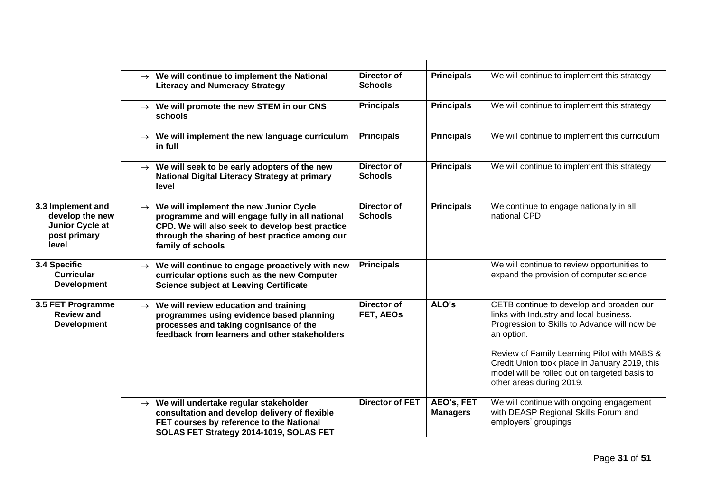|                                                                                  | $\rightarrow$ We will continue to implement the National<br><b>Literacy and Numeracy Strategy</b>                                                                                                                                    | Director of<br><b>Schools</b>        | <b>Principals</b>             | We will continue to implement this strategy                                                                                                                                                                                                                                                                                    |
|----------------------------------------------------------------------------------|--------------------------------------------------------------------------------------------------------------------------------------------------------------------------------------------------------------------------------------|--------------------------------------|-------------------------------|--------------------------------------------------------------------------------------------------------------------------------------------------------------------------------------------------------------------------------------------------------------------------------------------------------------------------------|
|                                                                                  | $\rightarrow$ We will promote the new STEM in our CNS<br>schools                                                                                                                                                                     | <b>Principals</b>                    | <b>Principals</b>             | We will continue to implement this strategy                                                                                                                                                                                                                                                                                    |
|                                                                                  | $\rightarrow$ We will implement the new language curriculum<br>in full                                                                                                                                                               | <b>Principals</b>                    | <b>Principals</b>             | We will continue to implement this curriculum                                                                                                                                                                                                                                                                                  |
|                                                                                  | $\rightarrow$ We will seek to be early adopters of the new<br>National Digital Literacy Strategy at primary<br>level                                                                                                                 | <b>Director of</b><br><b>Schools</b> | <b>Principals</b>             | We will continue to implement this strategy                                                                                                                                                                                                                                                                                    |
| 3.3 Implement and<br>develop the new<br>Junior Cycle at<br>post primary<br>level | We will implement the new Junior Cycle<br>$\rightarrow$<br>programme and will engage fully in all national<br>CPD. We will also seek to develop best practice<br>through the sharing of best practice among our<br>family of schools | <b>Director of</b><br><b>Schools</b> | <b>Principals</b>             | We continue to engage nationally in all<br>national CPD                                                                                                                                                                                                                                                                        |
| 3.4 Specific<br><b>Curricular</b><br><b>Development</b>                          | We will continue to engage proactively with new<br>curricular options such as the new Computer<br><b>Science subject at Leaving Certificate</b>                                                                                      | <b>Principals</b>                    |                               | We will continue to review opportunities to<br>expand the provision of computer science                                                                                                                                                                                                                                        |
| 3.5 FET Programme<br><b>Review and</b><br><b>Development</b>                     | We will review education and training<br>$\rightarrow$<br>programmes using evidence based planning<br>processes and taking cognisance of the<br>feedback from learners and other stakeholders                                        | Director of<br>FET, AEOs             | ALO's                         | CETB continue to develop and broaden our<br>links with Industry and local business.<br>Progression to Skills to Advance will now be<br>an option.<br>Review of Family Learning Pilot with MABS &<br>Credit Union took place in January 2019, this<br>model will be rolled out on targeted basis to<br>other areas during 2019. |
|                                                                                  | $\rightarrow$ We will undertake regular stakeholder<br>consultation and develop delivery of flexible<br>FET courses by reference to the National<br>SOLAS FET Strategy 2014-1019, SOLAS FET                                          | <b>Director of FET</b>               | AEO's, FET<br><b>Managers</b> | We will continue with ongoing engagement<br>with DEASP Regional Skills Forum and<br>employers' groupings                                                                                                                                                                                                                       |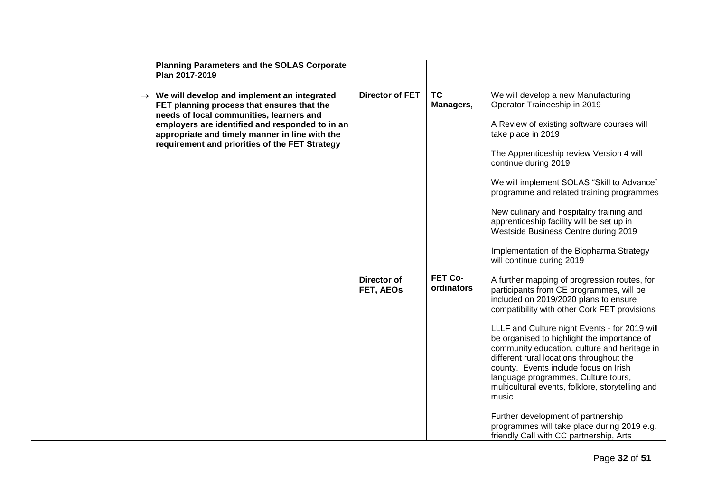| <b>Planning Parameters and the SOLAS Corporate</b><br>Plan 2017-2019                                                                                                                                                                                                                                       |                          |                        |                                                                                                                                                                                                                                                                                                                                                                                                                                                                                                                                                                                                                                                             |
|------------------------------------------------------------------------------------------------------------------------------------------------------------------------------------------------------------------------------------------------------------------------------------------------------------|--------------------------|------------------------|-------------------------------------------------------------------------------------------------------------------------------------------------------------------------------------------------------------------------------------------------------------------------------------------------------------------------------------------------------------------------------------------------------------------------------------------------------------------------------------------------------------------------------------------------------------------------------------------------------------------------------------------------------------|
| $\rightarrow$ We will develop and implement an integrated<br>FET planning process that ensures that the<br>needs of local communities, learners and<br>employers are identified and responded to in an<br>appropriate and timely manner in line with the<br>requirement and priorities of the FET Strategy | <b>Director of FET</b>   | <b>TC</b><br>Managers, | We will develop a new Manufacturing<br>Operator Traineeship in 2019<br>A Review of existing software courses will<br>take place in 2019<br>The Apprenticeship review Version 4 will<br>continue during 2019<br>We will implement SOLAS "Skill to Advance"<br>programme and related training programmes<br>New culinary and hospitality training and<br>apprenticeship facility will be set up in<br>Westside Business Centre during 2019<br>Implementation of the Biopharma Strategy<br>will continue during 2019                                                                                                                                           |
|                                                                                                                                                                                                                                                                                                            | Director of<br>FET, AEOs | FET Co-<br>ordinators  | A further mapping of progression routes, for<br>participants from CE programmes, will be<br>included on 2019/2020 plans to ensure<br>compatibility with other Cork FET provisions<br>LLLF and Culture night Events - for 2019 will<br>be organised to highlight the importance of<br>community education, culture and heritage in<br>different rural locations throughout the<br>county. Events include focus on Irish<br>language programmes, Culture tours,<br>multicultural events, folklore, storytelling and<br>music.<br>Further development of partnership<br>programmes will take place during 2019 e.g.<br>friendly Call with CC partnership, Arts |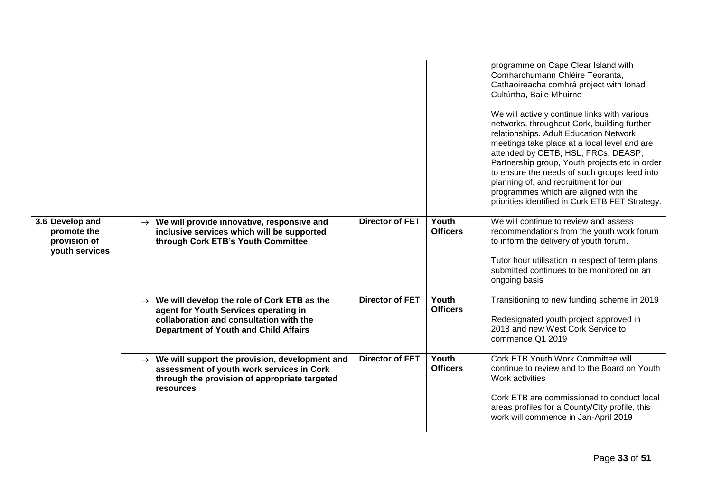|                                                                  |                                                                                                                                                                                                  |                        |                          | programme on Cape Clear Island with<br>Comharchumann Chléire Teoranta,<br>Cathaoireacha comhrá project with lonad<br>Cultúrtha, Baile Mhuirne<br>We will actively continue links with various<br>networks, throughout Cork, building further<br>relationships. Adult Education Network<br>meetings take place at a local level and are<br>attended by CETB, HSL, FRCs, DEASP,<br>Partnership group, Youth projects etc in order<br>to ensure the needs of such groups feed into<br>planning of, and recruitment for our<br>programmes which are aligned with the<br>priorities identified in Cork ETB FET Strategy. |
|------------------------------------------------------------------|--------------------------------------------------------------------------------------------------------------------------------------------------------------------------------------------------|------------------------|--------------------------|---------------------------------------------------------------------------------------------------------------------------------------------------------------------------------------------------------------------------------------------------------------------------------------------------------------------------------------------------------------------------------------------------------------------------------------------------------------------------------------------------------------------------------------------------------------------------------------------------------------------|
| 3.6 Develop and<br>promote the<br>provision of<br>youth services | $\rightarrow$ We will provide innovative, responsive and<br>inclusive services which will be supported<br>through Cork ETB's Youth Committee                                                     | <b>Director of FET</b> | Youth<br><b>Officers</b> | We will continue to review and assess<br>recommendations from the youth work forum<br>to inform the delivery of youth forum.<br>Tutor hour utilisation in respect of term plans<br>submitted continues to be monitored on an<br>ongoing basis                                                                                                                                                                                                                                                                                                                                                                       |
|                                                                  | We will develop the role of Cork ETB as the<br>$\rightarrow$<br>agent for Youth Services operating in<br>collaboration and consultation with the<br><b>Department of Youth and Child Affairs</b> | <b>Director of FET</b> | Youth<br><b>Officers</b> | Transitioning to new funding scheme in 2019<br>Redesignated youth project approved in<br>2018 and new West Cork Service to<br>commence Q1 2019                                                                                                                                                                                                                                                                                                                                                                                                                                                                      |
|                                                                  | $\rightarrow$ We will support the provision, development and<br>assessment of youth work services in Cork<br>through the provision of appropriate targeted<br>resources                          | <b>Director of FET</b> | Youth<br><b>Officers</b> | Cork ETB Youth Work Committee will<br>continue to review and to the Board on Youth<br>Work activities<br>Cork ETB are commissioned to conduct local<br>areas profiles for a County/City profile, this<br>work will commence in Jan-April 2019                                                                                                                                                                                                                                                                                                                                                                       |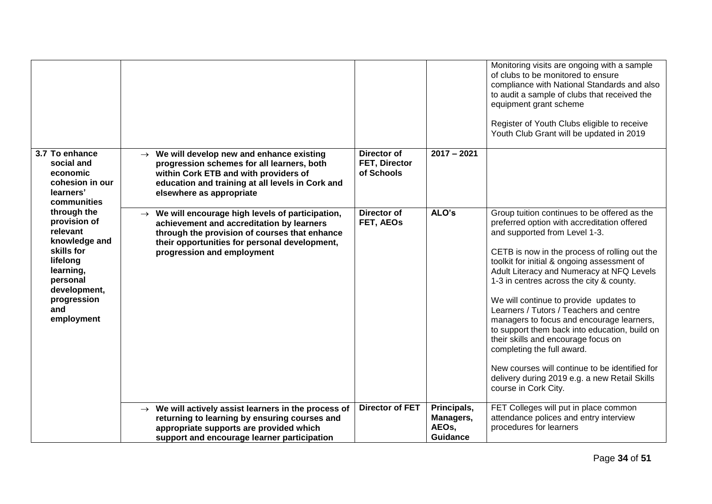|                                                                                                                                                                 |                                                                                                                                                                                                                                            |                                            |                                                      | Monitoring visits are ongoing with a sample<br>of clubs to be monitored to ensure<br>compliance with National Standards and also<br>to audit a sample of clubs that received the<br>equipment grant scheme<br>Register of Youth Clubs eligible to receive<br>Youth Club Grant will be updated in 2019                                                                                                                                                                                                                                                                                                                                                                                                    |
|-----------------------------------------------------------------------------------------------------------------------------------------------------------------|--------------------------------------------------------------------------------------------------------------------------------------------------------------------------------------------------------------------------------------------|--------------------------------------------|------------------------------------------------------|----------------------------------------------------------------------------------------------------------------------------------------------------------------------------------------------------------------------------------------------------------------------------------------------------------------------------------------------------------------------------------------------------------------------------------------------------------------------------------------------------------------------------------------------------------------------------------------------------------------------------------------------------------------------------------------------------------|
| 3.7 To enhance<br>social and<br>economic<br>cohesion in our<br>learners'<br>communities                                                                         | We will develop new and enhance existing<br>$\rightarrow$<br>progression schemes for all learners, both<br>within Cork ETB and with providers of<br>education and training at all levels in Cork and<br>elsewhere as appropriate           | Director of<br>FET, Director<br>of Schools | $2017 - 2021$                                        |                                                                                                                                                                                                                                                                                                                                                                                                                                                                                                                                                                                                                                                                                                          |
| through the<br>provision of<br>relevant<br>knowledge and<br>skills for<br>lifelong<br>learning,<br>personal<br>development,<br>progression<br>and<br>employment | $\rightarrow$ We will encourage high levels of participation,<br>achievement and accreditation by learners<br>through the provision of courses that enhance<br>their opportunities for personal development,<br>progression and employment | Director of<br>FET, AEOs                   | ALO's                                                | Group tuition continues to be offered as the<br>preferred option with accreditation offered<br>and supported from Level 1-3.<br>CETB is now in the process of rolling out the<br>toolkit for initial & ongoing assessment of<br>Adult Literacy and Numeracy at NFQ Levels<br>1-3 in centres across the city & county.<br>We will continue to provide updates to<br>Learners / Tutors / Teachers and centre<br>managers to focus and encourage learners,<br>to support them back into education, build on<br>their skills and encourage focus on<br>completing the full award.<br>New courses will continue to be identified for<br>delivery during 2019 e.g. a new Retail Skills<br>course in Cork City. |
|                                                                                                                                                                 | $\rightarrow$ We will actively assist learners in the process of<br>returning to learning by ensuring courses and<br>appropriate supports are provided which<br>support and encourage learner participation                                | <b>Director of FET</b>                     | Principals,<br>Managers,<br>AEOs,<br><b>Guidance</b> | FET Colleges will put in place common<br>attendance polices and entry interview<br>procedures for learners                                                                                                                                                                                                                                                                                                                                                                                                                                                                                                                                                                                               |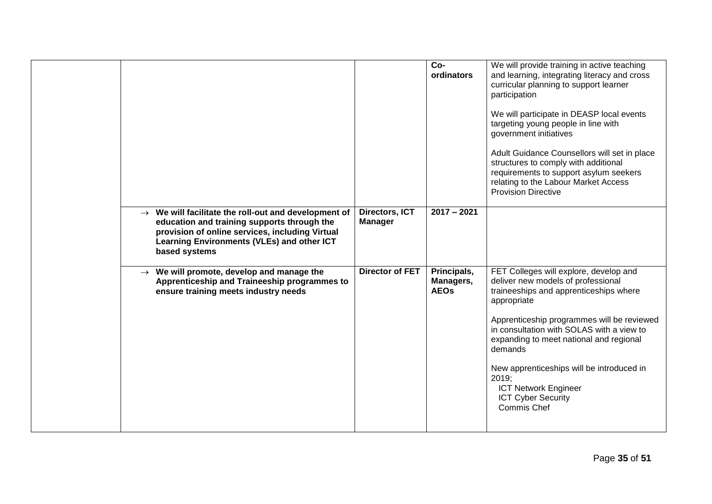|                                                                                                                                                                                                                                   |                                  | $Co-$<br>ordinators                     | We will provide training in active teaching<br>and learning, integrating literacy and cross<br>curricular planning to support learner<br>participation<br>We will participate in DEASP local events<br>targeting young people in line with<br>government initiatives<br>Adult Guidance Counsellors will set in place<br>structures to comply with additional<br>requirements to support asylum seekers<br>relating to the Labour Market Access<br><b>Provision Directive</b> |
|-----------------------------------------------------------------------------------------------------------------------------------------------------------------------------------------------------------------------------------|----------------------------------|-----------------------------------------|------------------------------------------------------------------------------------------------------------------------------------------------------------------------------------------------------------------------------------------------------------------------------------------------------------------------------------------------------------------------------------------------------------------------------------------------------------------------------|
| $\rightarrow$ We will facilitate the roll-out and development of<br>education and training supports through the<br>provision of online services, including Virtual<br>Learning Environments (VLEs) and other ICT<br>based systems | Directors, ICT<br><b>Manager</b> | $2017 - 2021$                           |                                                                                                                                                                                                                                                                                                                                                                                                                                                                              |
| $\rightarrow$ We will promote, develop and manage the<br>Apprenticeship and Traineeship programmes to<br>ensure training meets industry needs                                                                                     | <b>Director of FET</b>           | Principals,<br>Managers,<br><b>AEOs</b> | FET Colleges will explore, develop and<br>deliver new models of professional<br>traineeships and apprenticeships where<br>appropriate<br>Apprenticeship programmes will be reviewed<br>in consultation with SOLAS with a view to<br>expanding to meet national and regional<br>demands<br>New apprenticeships will be introduced in<br>2019;<br><b>ICT Network Engineer</b><br><b>ICT Cyber Security</b><br>Commis Chef                                                      |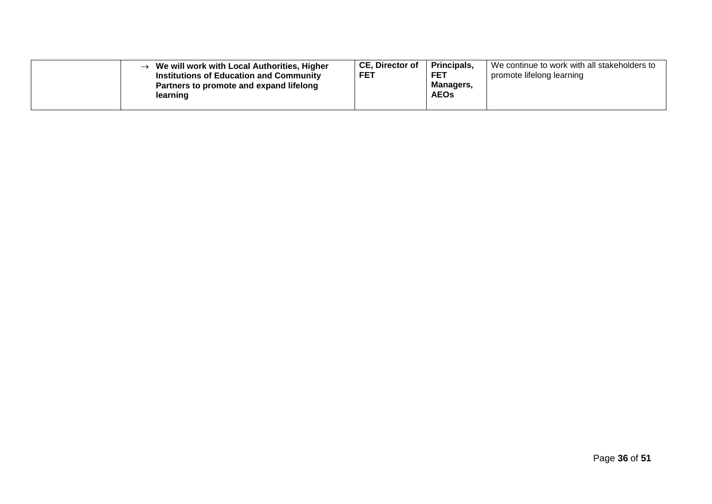| We will work with Local Authorities, Higher<br>$\rightarrow$<br><b>Institutions of Education and Community</b><br>Partners to promote and expand lifelong<br>learning | CE. Director of<br><b>FET</b> | <b>Principals</b><br>FET<br><b>Managers,</b><br><b>AEOs</b> | We continue to work with all stakeholders to<br>promote lifelong learning |
|-----------------------------------------------------------------------------------------------------------------------------------------------------------------------|-------------------------------|-------------------------------------------------------------|---------------------------------------------------------------------------|
|-----------------------------------------------------------------------------------------------------------------------------------------------------------------------|-------------------------------|-------------------------------------------------------------|---------------------------------------------------------------------------|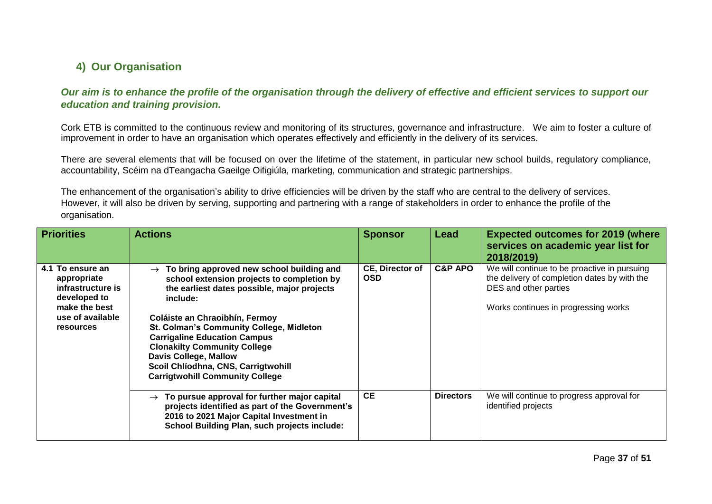### **4) Our Organisation**

*Our aim is to enhance the profile of the organisation through the delivery of effective and efficient services to support our education and training provision.*

Cork ETB is committed to the continuous review and monitoring of its structures, governance and infrastructure. We aim to foster a culture of improvement in order to have an organisation which operates effectively and efficiently in the delivery of its services.

There are several elements that will be focused on over the lifetime of the statement, in particular new school builds, regulatory compliance, accountability, Scéim na dTeangacha Gaeilge Oifigiúla, marketing, communication and strategic partnerships.

The enhancement of the organisation's ability to drive efficiencies will be driven by the staff who are central to the delivery of services. However, it will also be driven by serving, supporting and partnering with a range of stakeholders in order to enhance the profile of the organisation.

<span id="page-36-1"></span><span id="page-36-0"></span>

| <b>Priorities</b>                                                                                                      | <b>Actions</b>                                                                                                                                                                                                                                                                                                                                                                                                                                          | <b>Sponsor</b>                       | Lead               | <b>Expected outcomes for 2019 (where</b><br>services on academic year list for<br>2018/2019)                                                                  |
|------------------------------------------------------------------------------------------------------------------------|---------------------------------------------------------------------------------------------------------------------------------------------------------------------------------------------------------------------------------------------------------------------------------------------------------------------------------------------------------------------------------------------------------------------------------------------------------|--------------------------------------|--------------------|---------------------------------------------------------------------------------------------------------------------------------------------------------------|
| 4.1 To ensure an<br>appropriate<br>infrastructure is<br>developed to<br>make the best<br>use of available<br>resources | To bring approved new school building and<br>$\rightarrow$<br>school extension projects to completion by<br>the earliest dates possible, major projects<br>include:<br>Coláiste an Chraoibhín, Fermoy<br><b>St. Colman's Community College, Midleton</b><br><b>Carrigaline Education Campus</b><br><b>Clonakilty Community College</b><br><b>Davis College, Mallow</b><br>Scoil Chlíodhna, CNS, Carrigtwohill<br><b>Carrigtwohill Community College</b> | <b>CE, Director of</b><br><b>OSD</b> | <b>C&amp;P APO</b> | We will continue to be proactive in pursuing<br>the delivery of completion dates by with the<br>DES and other parties<br>Works continues in progressing works |
|                                                                                                                        | $\rightarrow$ To pursue approval for further major capital<br>projects identified as part of the Government's<br>2016 to 2021 Major Capital Investment in<br><b>School Building Plan, such projects include:</b>                                                                                                                                                                                                                                        | <b>CE</b>                            | <b>Directors</b>   | We will continue to progress approval for<br>identified projects                                                                                              |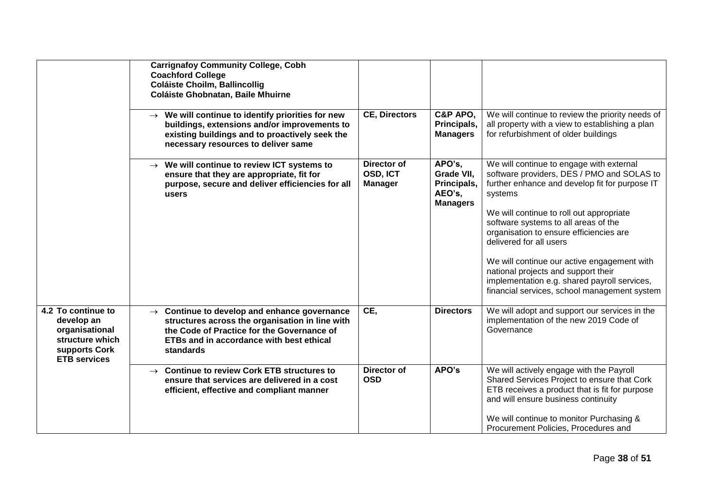|                                                                                                               | <b>Carrignafoy Community College, Cobh</b><br><b>Coachford College</b><br>Coláiste Choilm, Ballincollig<br>Coláiste Ghobnatan, Baile Mhuirne                                                                              |                                           |                                                                  |                                                                                                                                                                                                                                                                                                                                                                                                                                                                                                     |
|---------------------------------------------------------------------------------------------------------------|---------------------------------------------------------------------------------------------------------------------------------------------------------------------------------------------------------------------------|-------------------------------------------|------------------------------------------------------------------|-----------------------------------------------------------------------------------------------------------------------------------------------------------------------------------------------------------------------------------------------------------------------------------------------------------------------------------------------------------------------------------------------------------------------------------------------------------------------------------------------------|
|                                                                                                               | $\rightarrow$ We will continue to identify priorities for new<br>buildings, extensions and/or improvements to<br>existing buildings and to proactively seek the<br>necessary resources to deliver same                    | <b>CE, Directors</b>                      | C&P APO,<br>Principals,<br><b>Managers</b>                       | We will continue to review the priority needs of<br>all property with a view to establishing a plan<br>for refurbishment of older buildings                                                                                                                                                                                                                                                                                                                                                         |
|                                                                                                               | $\rightarrow$ We will continue to review ICT systems to<br>ensure that they are appropriate, fit for<br>purpose, secure and deliver efficiencies for all<br>users                                                         | Director of<br>OSD, ICT<br><b>Manager</b> | APO's,<br>Grade VII.<br>Principals,<br>AEO's,<br><b>Managers</b> | We will continue to engage with external<br>software providers, DES / PMO and SOLAS to<br>further enhance and develop fit for purpose IT<br>systems<br>We will continue to roll out appropriate<br>software systems to all areas of the<br>organisation to ensure efficiencies are<br>delivered for all users<br>We will continue our active engagement with<br>national projects and support their<br>implementation e.g. shared payroll services,<br>financial services, school management system |
| 4.2 To continue to<br>develop an<br>organisational<br>structure which<br>supports Cork<br><b>ETB</b> services | $\rightarrow$ Continue to develop and enhance governance<br>structures across the organisation in line with<br>the Code of Practice for the Governance of<br><b>ETBs and in accordance with best ethical</b><br>standards | CE,                                       | <b>Directors</b>                                                 | We will adopt and support our services in the<br>implementation of the new 2019 Code of<br>Governance                                                                                                                                                                                                                                                                                                                                                                                               |
|                                                                                                               | $\rightarrow$ Continue to review Cork ETB structures to<br>ensure that services are delivered in a cost<br>efficient, effective and compliant manner                                                                      | <b>Director of</b><br><b>OSD</b>          | APO's                                                            | We will actively engage with the Payroll<br>Shared Services Project to ensure that Cork<br>ETB receives a product that is fit for purpose<br>and will ensure business continuity<br>We will continue to monitor Purchasing &<br>Procurement Policies, Procedures and                                                                                                                                                                                                                                |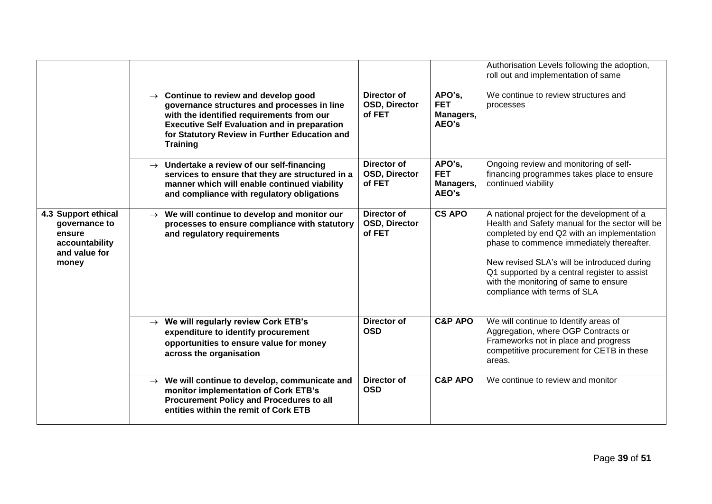|                                                                                            |                                                                                                                                                                                                                                                                          |                                               |                                            | Authorisation Levels following the adoption,<br>roll out and implementation of same                                                                                                                                                                                                                                                                               |
|--------------------------------------------------------------------------------------------|--------------------------------------------------------------------------------------------------------------------------------------------------------------------------------------------------------------------------------------------------------------------------|-----------------------------------------------|--------------------------------------------|-------------------------------------------------------------------------------------------------------------------------------------------------------------------------------------------------------------------------------------------------------------------------------------------------------------------------------------------------------------------|
|                                                                                            | $\rightarrow$ Continue to review and develop good<br>governance structures and processes in line<br>with the identified requirements from our<br><b>Executive Self Evaluation and in preparation</b><br>for Statutory Review in Further Education and<br><b>Training</b> | Director of<br><b>OSD, Director</b><br>of FET | APO's,<br><b>FET</b><br>Managers,<br>AEO's | We continue to review structures and<br>processes                                                                                                                                                                                                                                                                                                                 |
|                                                                                            | $\rightarrow$ Undertake a review of our self-financing<br>services to ensure that they are structured in a<br>manner which will enable continued viability<br>and compliance with regulatory obligations                                                                 | Director of<br><b>OSD, Director</b><br>of FET | APO's,<br><b>FET</b><br>Managers,<br>AEO's | Ongoing review and monitoring of self-<br>financing programmes takes place to ensure<br>continued viability                                                                                                                                                                                                                                                       |
| 4.3 Support ethical<br>governance to<br>ensure<br>accountability<br>and value for<br>money | $\rightarrow$ We will continue to develop and monitor our<br>processes to ensure compliance with statutory<br>and regulatory requirements                                                                                                                                | <b>Director of</b><br>OSD, Director<br>of FET | <b>CS APO</b>                              | A national project for the development of a<br>Health and Safety manual for the sector will be<br>completed by end Q2 with an implementation<br>phase to commence immediately thereafter.<br>New revised SLA's will be introduced during<br>Q1 supported by a central register to assist<br>with the monitoring of same to ensure<br>compliance with terms of SLA |
|                                                                                            | $\rightarrow$ We will regularly review Cork ETB's<br>expenditure to identify procurement<br>opportunities to ensure value for money<br>across the organisation                                                                                                           | <b>Director of</b><br><b>OSD</b>              | <b>C&amp;P APO</b>                         | We will continue to Identify areas of<br>Aggregation, where OGP Contracts or<br>Frameworks not in place and progress<br>competitive procurement for CETB in these<br>areas.                                                                                                                                                                                       |
|                                                                                            | $\rightarrow$ We will continue to develop, communicate and<br>monitor implementation of Cork ETB's<br>Procurement Policy and Procedures to all<br>entities within the remit of Cork ETB                                                                                  | Director of<br><b>OSD</b>                     | <b>C&amp;P APO</b>                         | We continue to review and monitor                                                                                                                                                                                                                                                                                                                                 |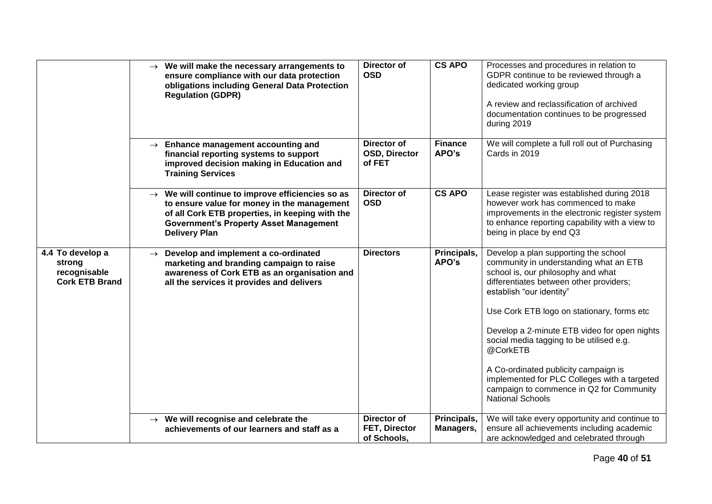|                                                                     | $\rightarrow$ We will make the necessary arrangements to<br>ensure compliance with our data protection<br>obligations including General Data Protection<br><b>Regulation (GDPR)</b>                                                     | <b>Director of</b><br><b>OSD</b>                   | <b>CS APO</b>            | Processes and procedures in relation to<br>GDPR continue to be reviewed through a<br>dedicated working group<br>A review and reclassification of archived<br>documentation continues to be progressed<br>during 2019                                                                                                                                                                                                                                                                                             |
|---------------------------------------------------------------------|-----------------------------------------------------------------------------------------------------------------------------------------------------------------------------------------------------------------------------------------|----------------------------------------------------|--------------------------|------------------------------------------------------------------------------------------------------------------------------------------------------------------------------------------------------------------------------------------------------------------------------------------------------------------------------------------------------------------------------------------------------------------------------------------------------------------------------------------------------------------|
|                                                                     | $\rightarrow$ Enhance management accounting and<br>financial reporting systems to support<br>improved decision making in Education and<br><b>Training Services</b>                                                                      | Director of<br>OSD, Director<br>of FET             | <b>Finance</b><br>APO's  | We will complete a full roll out of Purchasing<br>Cards in 2019                                                                                                                                                                                                                                                                                                                                                                                                                                                  |
|                                                                     | $\rightarrow$ We will continue to improve efficiencies so as<br>to ensure value for money in the management<br>of all Cork ETB properties, in keeping with the<br><b>Government's Property Asset Management</b><br><b>Delivery Plan</b> | <b>Director of</b><br><b>OSD</b>                   | <b>CS APO</b>            | Lease register was established during 2018<br>however work has commenced to make<br>improvements in the electronic register system<br>to enhance reporting capability with a view to<br>being in place by end Q3                                                                                                                                                                                                                                                                                                 |
| 4.4 To develop a<br>strong<br>recognisable<br><b>Cork ETB Brand</b> | $\rightarrow$ Develop and implement a co-ordinated<br>marketing and branding campaign to raise<br>awareness of Cork ETB as an organisation and<br>all the services it provides and delivers                                             | <b>Directors</b>                                   | Principals,<br>APO's     | Develop a plan supporting the school<br>community in understanding what an ETB<br>school is, our philosophy and what<br>differentiates between other providers;<br>establish "our identity"<br>Use Cork ETB logo on stationary, forms etc<br>Develop a 2-minute ETB video for open nights<br>social media tagging to be utilised e.g.<br>@CorkETB<br>A Co-ordinated publicity campaign is<br>implemented for PLC Colleges with a targeted<br>campaign to commence in Q2 for Community<br><b>National Schools</b> |
|                                                                     | $\rightarrow$ We will recognise and celebrate the<br>achievements of our learners and staff as a                                                                                                                                        | <b>Director of</b><br>FET, Director<br>of Schools, | Principals,<br>Managers, | We will take every opportunity and continue to<br>ensure all achievements including academic<br>are acknowledged and celebrated through                                                                                                                                                                                                                                                                                                                                                                          |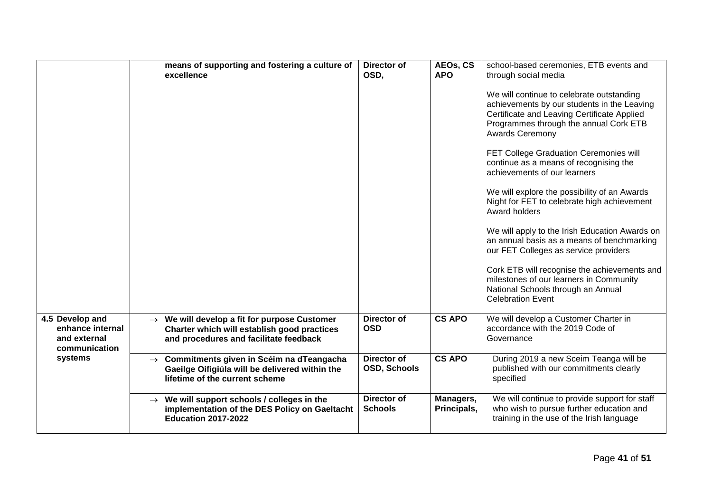|                                                                      | means of supporting and fostering a culture of<br>excellence                                                                                      | Director of<br>OSD,           | AEOs, CS<br><b>APO</b>   | school-based ceremonies, ETB events and<br>through social media                                                                                                                                             |
|----------------------------------------------------------------------|---------------------------------------------------------------------------------------------------------------------------------------------------|-------------------------------|--------------------------|-------------------------------------------------------------------------------------------------------------------------------------------------------------------------------------------------------------|
|                                                                      |                                                                                                                                                   |                               |                          | We will continue to celebrate outstanding<br>achievements by our students in the Leaving<br>Certificate and Leaving Certificate Applied<br>Programmes through the annual Cork ETB<br><b>Awards Ceremony</b> |
|                                                                      |                                                                                                                                                   |                               |                          | FET College Graduation Ceremonies will<br>continue as a means of recognising the<br>achievements of our learners                                                                                            |
|                                                                      |                                                                                                                                                   |                               |                          | We will explore the possibility of an Awards<br>Night for FET to celebrate high achievement<br>Award holders                                                                                                |
|                                                                      |                                                                                                                                                   |                               |                          | We will apply to the Irish Education Awards on<br>an annual basis as a means of benchmarking<br>our FET Colleges as service providers                                                                       |
|                                                                      |                                                                                                                                                   |                               |                          | Cork ETB will recognise the achievements and<br>milestones of our learners in Community<br>National Schools through an Annual<br><b>Celebration Event</b>                                                   |
| 4.5 Develop and<br>enhance internal<br>and external<br>communication | $\rightarrow$ We will develop a fit for purpose Customer<br>Charter which will establish good practices<br>and procedures and facilitate feedback | Director of<br><b>OSD</b>     | <b>CS APO</b>            | We will develop a Customer Charter in<br>accordance with the 2019 Code of<br>Governance                                                                                                                     |
| systems                                                              | $\rightarrow$ Commitments given in Scéim na dTeangacha<br>Gaeilge Oifigiúla will be delivered within the<br>lifetime of the current scheme        | Director of<br>OSD, Schools   | <b>CS APO</b>            | During 2019 a new Sceim Teanga will be<br>published with our commitments clearly<br>specified                                                                                                               |
|                                                                      | $\rightarrow$ We will support schools / colleges in the<br>implementation of the DES Policy on Gaeltacht<br><b>Education 2017-2022</b>            | Director of<br><b>Schools</b> | Managers,<br>Principals, | We will continue to provide support for staff<br>who wish to pursue further education and<br>training in the use of the Irish language                                                                      |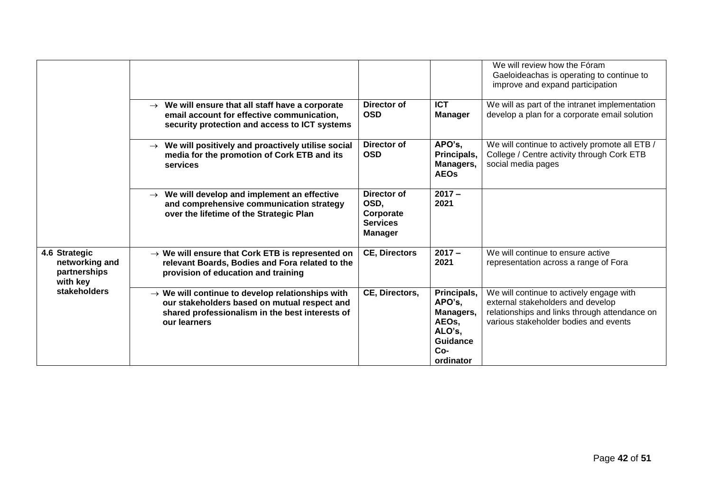|                                                             |                                                                                                                                                                                 |                                                                       |                                                                                         | We will review how the Fóram<br>Gaeloideachas is operating to continue to<br>improve and expand participation                                                           |
|-------------------------------------------------------------|---------------------------------------------------------------------------------------------------------------------------------------------------------------------------------|-----------------------------------------------------------------------|-----------------------------------------------------------------------------------------|-------------------------------------------------------------------------------------------------------------------------------------------------------------------------|
|                                                             | $\rightarrow$ We will ensure that all staff have a corporate<br>email account for effective communication,<br>security protection and access to ICT systems                     | Director of<br><b>OSD</b>                                             | <b>ICT</b><br><b>Manager</b>                                                            | We will as part of the intranet implementation<br>develop a plan for a corporate email solution                                                                         |
|                                                             | $\rightarrow$ We will positively and proactively utilise social<br>media for the promotion of Cork ETB and its<br>services                                                      | Director of<br><b>OSD</b>                                             | APO's,<br>Principals,<br>Managers,<br><b>AEOs</b>                                       | We will continue to actively promote all ETB /<br>College / Centre activity through Cork ETB<br>social media pages                                                      |
|                                                             | $\rightarrow$ We will develop and implement an effective<br>and comprehensive communication strategy<br>over the lifetime of the Strategic Plan                                 | Director of<br>OSD,<br>Corporate<br><b>Services</b><br><b>Manager</b> | $2017 -$<br>2021                                                                        |                                                                                                                                                                         |
| 4.6 Strategic<br>networking and<br>partnerships<br>with key | $\rightarrow$ We will ensure that Cork ETB is represented on<br>relevant Boards, Bodies and Fora related to the<br>provision of education and training                          | <b>CE, Directors</b>                                                  | $2017 -$<br>2021                                                                        | We will continue to ensure active<br>representation across a range of Fora                                                                                              |
| stakeholders                                                | $\rightarrow$ We will continue to develop relationships with<br>our stakeholders based on mutual respect and<br>shared professionalism in the best interests of<br>our learners | CE, Directors,                                                        | Principals,<br>APO's,<br>Managers,<br>AEOs,<br>ALO's,<br>Guidance<br>$Co-$<br>ordinator | We will continue to actively engage with<br>external stakeholders and develop<br>relationships and links through attendance on<br>various stakeholder bodies and events |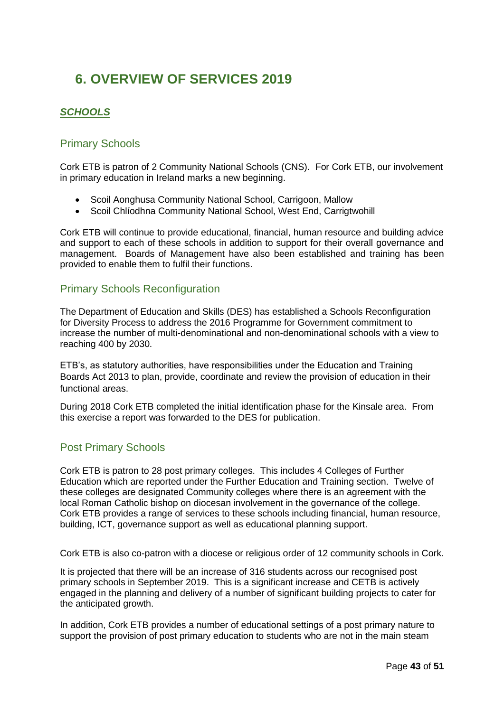# <span id="page-42-0"></span>**6. OVERVIEW OF SERVICES 2019**

### <span id="page-42-1"></span>*SCHOOLS*

#### <span id="page-42-2"></span>Primary Schools

Cork ETB is patron of 2 Community National Schools (CNS). For Cork ETB, our involvement in primary education in Ireland marks a new beginning.

- Scoil Aonghusa Community National School, Carrigoon, Mallow
- Scoil Chlíodhna Community National School, West End, Carrigtwohill

Cork ETB will continue to provide educational, financial, human resource and building advice and support to each of these schools in addition to support for their overall governance and management. Boards of Management have also been established and training has been provided to enable them to fulfil their functions.

#### <span id="page-42-3"></span>Primary Schools Reconfiguration

The Department of Education and Skills (DES) has established a Schools Reconfiguration for Diversity Process to address the 2016 Programme for Government commitment to increase the number of multi-denominational and non-denominational schools with a view to reaching 400 by 2030.

ETB's, as statutory authorities, have responsibilities under the Education and Training Boards Act 2013 to plan, provide, coordinate and review the provision of education in their functional areas.

During 2018 Cork ETB completed the initial identification phase for the Kinsale area. From this exercise a report was forwarded to the DES for publication.

#### <span id="page-42-4"></span>Post Primary Schools

Cork ETB is patron to 28 post primary colleges. This includes 4 Colleges of Further Education which are reported under the Further Education and Training section. Twelve of these colleges are designated Community colleges where there is an agreement with the local Roman Catholic bishop on diocesan involvement in the governance of the college. Cork ETB provides a range of services to these schools including financial, human resource, building, ICT, governance support as well as educational planning support.

Cork ETB is also co-patron with a diocese or religious order of 12 community schools in Cork.

It is projected that there will be an increase of 316 students across our recognised post primary schools in September 2019. This is a significant increase and CETB is actively engaged in the planning and delivery of a number of significant building projects to cater for the anticipated growth.

In addition, Cork ETB provides a number of educational settings of a post primary nature to support the provision of post primary education to students who are not in the main steam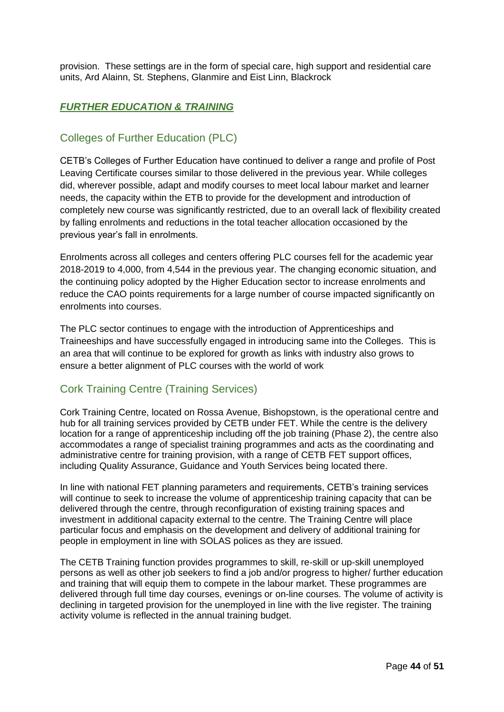provision. These settings are in the form of special care, high support and residential care units, Ard Alainn, St. Stephens, Glanmire and Eist Linn, Blackrock

#### <span id="page-43-0"></span>*FURTHER EDUCATION & TRAINING*

#### <span id="page-43-1"></span>Colleges of Further Education (PLC)

CETB's Colleges of Further Education have continued to deliver a range and profile of Post Leaving Certificate courses similar to those delivered in the previous year. While colleges did, wherever possible, adapt and modify courses to meet local labour market and learner needs, the capacity within the ETB to provide for the development and introduction of completely new course was significantly restricted, due to an overall lack of flexibility created by falling enrolments and reductions in the total teacher allocation occasioned by the previous year's fall in enrolments.

Enrolments across all colleges and centers offering PLC courses fell for the academic year 2018-2019 to 4,000, from 4,544 in the previous year. The changing economic situation, and the continuing policy adopted by the Higher Education sector to increase enrolments and reduce the CAO points requirements for a large number of course impacted significantly on enrolments into courses.

The PLC sector continues to engage with the introduction of Apprenticeships and Traineeships and have successfully engaged in introducing same into the Colleges. This is an area that will continue to be explored for growth as links with industry also grows to ensure a better alignment of PLC courses with the world of work

#### <span id="page-43-2"></span>Cork Training Centre (Training Services)

Cork Training Centre, located on Rossa Avenue, Bishopstown, is the operational centre and hub for all training services provided by CETB under FET. While the centre is the delivery location for a range of apprenticeship including off the job training (Phase 2), the centre also accommodates a range of specialist training programmes and acts as the coordinating and administrative centre for training provision, with a range of CETB FET support offices, including Quality Assurance, Guidance and Youth Services being located there.

In line with national FET planning parameters and requirements, CETB's training services will continue to seek to increase the volume of apprenticeship training capacity that can be delivered through the centre, through reconfiguration of existing training spaces and investment in additional capacity external to the centre. The Training Centre will place particular focus and emphasis on the development and delivery of additional training for people in employment in line with SOLAS polices as they are issued.

The CETB Training function provides programmes to skill, re-skill or up-skill unemployed persons as well as other job seekers to find a job and/or progress to higher/ further education and training that will equip them to compete in the labour market. These programmes are delivered through full time day courses, evenings or on-line courses. The volume of activity is declining in targeted provision for the unemployed in line with the live register. The training activity volume is reflected in the annual training budget.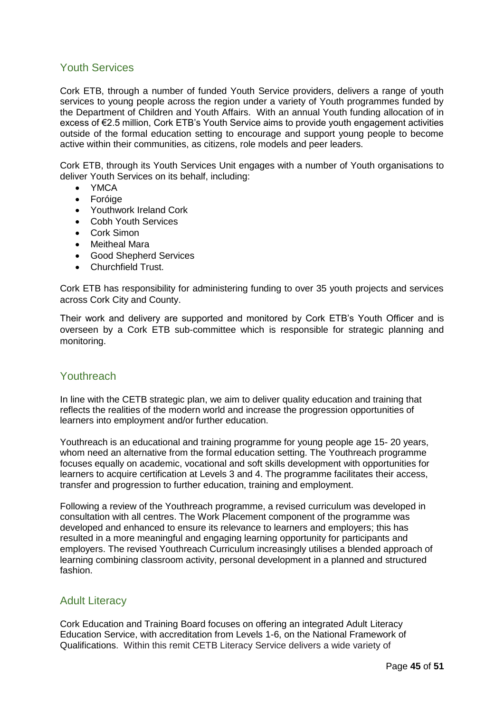#### <span id="page-44-0"></span>Youth Services

Cork ETB, through a number of funded Youth Service providers, delivers a range of youth services to young people across the region under a variety of Youth programmes funded by the Department of Children and Youth Affairs. With an annual Youth funding allocation of in excess of €2.5 million, Cork ETB's Youth Service aims to provide youth engagement activities outside of the formal education setting to encourage and support young people to become active within their communities, as citizens, role models and peer leaders.

Cork ETB, through its Youth Services Unit engages with a number of Youth organisations to deliver Youth Services on its behalf, including:

- YMCA
- Foróige
- Youthwork Ireland Cork
- Cobh Youth Services
- Cork Simon
- Meitheal Mara
- Good Shepherd Services
- Churchfield Trust.

Cork ETB has responsibility for administering funding to over 35 youth projects and services across Cork City and County.

Their work and delivery are supported and monitored by Cork ETB's Youth Officer and is overseen by a Cork ETB sub-committee which is responsible for strategic planning and monitoring.

#### <span id="page-44-1"></span>Youthreach

In line with the CETB strategic plan, we aim to deliver quality education and training that reflects the realities of the modern world and increase the progression opportunities of learners into employment and/or further education.

Youthreach is an educational and training programme for young people age 15- 20 years, whom need an alternative from the formal education setting. The Youthreach programme focuses equally on academic, vocational and soft skills development with opportunities for learners to acquire certification at Levels 3 and 4. The programme facilitates their access, transfer and progression to further education, training and employment.

Following a review of the Youthreach programme, a revised curriculum was developed in consultation with all centres. The Work Placement component of the programme was developed and enhanced to ensure its relevance to learners and employers; this has resulted in a more meaningful and engaging learning opportunity for participants and employers. The revised Youthreach Curriculum increasingly utilises a blended approach of learning combining classroom activity, personal development in a planned and structured fashion.

#### <span id="page-44-2"></span>Adult Literacy

Cork Education and Training Board focuses on offering an integrated Adult Literacy Education Service, with accreditation from Levels 1-6, on the National Framework of Qualifications. Within this remit CETB Literacy Service delivers a wide variety of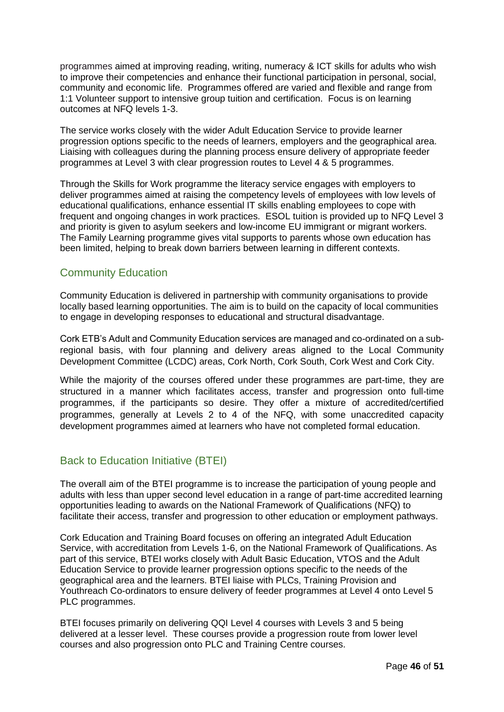programmes aimed at improving reading, writing, numeracy & ICT skills for adults who wish to improve their competencies and enhance their functional participation in personal, social, community and economic life. Programmes offered are varied and flexible and range from 1:1 Volunteer support to intensive group tuition and certification. Focus is on learning outcomes at NFQ levels 1-3.

The service works closely with the wider Adult Education Service to provide learner progression options specific to the needs of learners, employers and the geographical area. Liaising with colleagues during the planning process ensure delivery of appropriate feeder programmes at Level 3 with clear progression routes to Level 4 & 5 programmes.

Through the Skills for Work programme the literacy service engages with employers to deliver programmes aimed at raising the competency levels of employees with low levels of educational qualifications, enhance essential IT skills enabling employees to cope with frequent and ongoing changes in work practices. ESOL tuition is provided up to NFQ Level 3 and priority is given to asylum seekers and low-income EU immigrant or migrant workers. The Family Learning programme gives vital supports to parents whose own education has been limited, helping to break down barriers between learning in different contexts.

#### <span id="page-45-0"></span>Community Education

Community Education is delivered in partnership with community organisations to provide locally based learning opportunities. The aim is to build on the capacity of local communities to engage in developing responses to educational and structural disadvantage.

Cork ETB's Adult and Community Education services are managed and co-ordinated on a subregional basis, with four planning and delivery areas aligned to the Local Community Development Committee (LCDC) areas, Cork North, Cork South, Cork West and Cork City.

While the majority of the courses offered under these programmes are part-time, they are structured in a manner which facilitates access, transfer and progression onto full-time programmes, if the participants so desire. They offer a mixture of accredited/certified programmes, generally at Levels 2 to 4 of the NFQ, with some unaccredited capacity development programmes aimed at learners who have not completed formal education.

#### <span id="page-45-1"></span>Back to Education Initiative (BTEI)

The overall aim of the BTEI programme is to increase the participation of young people and adults with less than upper second level education in a range of part-time accredited learning opportunities leading to awards on the National Framework of Qualifications (NFQ) to facilitate their access, transfer and progression to other education or employment pathways.

Cork Education and Training Board focuses on offering an integrated Adult Education Service, with accreditation from Levels 1-6, on the National Framework of Qualifications. As part of this service, BTEI works closely with Adult Basic Education, VTOS and the Adult Education Service to provide learner progression options specific to the needs of the geographical area and the learners. BTEI liaise with PLCs, Training Provision and Youthreach Co-ordinators to ensure delivery of feeder programmes at Level 4 onto Level 5 PLC programmes.

BTEI focuses primarily on delivering QQI Level 4 courses with Levels 3 and 5 being delivered at a lesser level. These courses provide a progression route from lower level courses and also progression onto PLC and Training Centre courses.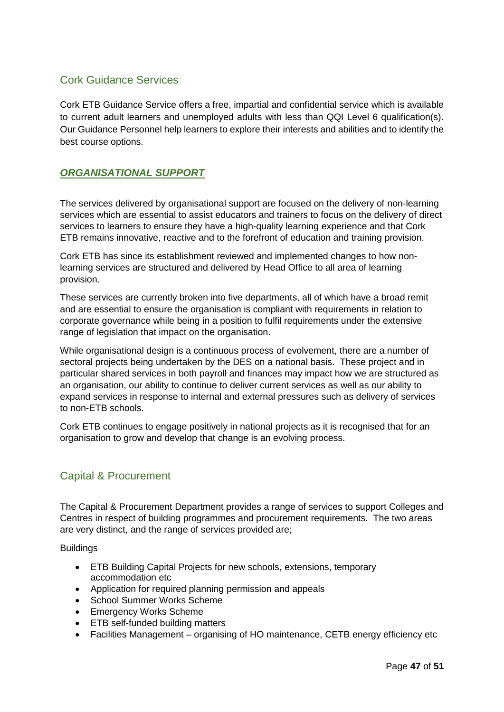#### <span id="page-46-0"></span>Cork Guidance Services

Cork ETB Guidance Service offers a free, impartial and confidential service which is available to current adult learners and unemployed adults with less than QQI Level 6 qualification(s). Our Guidance Personnel help learners to explore their interests and abilities and to identify the best course options.

#### <span id="page-46-1"></span>*ORGANISATIONAL SUPPORT*

The services delivered by organisational support are focused on the delivery of non-learning services which are essential to assist educators and trainers to focus on the delivery of direct services to learners to ensure they have a high-quality learning experience and that Cork ETB remains innovative, reactive and to the forefront of education and training provision.

Cork ETB has since its establishment reviewed and implemented changes to how nonlearning services are structured and delivered by Head Office to all area of learning provision.

These services are currently broken into five departments, all of which have a broad remit and are essential to ensure the organisation is compliant with requirements in relation to corporate governance while being in a position to fulfil requirements under the extensive range of legislation that impact on the organisation.

While organisational design is a continuous process of evolvement, there are a number of sectoral projects being undertaken by the DES on a national basis. These project and in particular shared services in both payroll and finances may impact how we are structured as an organisation, our ability to continue to deliver current services as well as our ability to expand services in response to internal and external pressures such as delivery of services to non-ETB schools.

Cork ETB continues to engage positively in national projects as it is recognised that for an organisation to grow and develop that change is an evolving process.

#### <span id="page-46-2"></span>Capital & Procurement

The Capital & Procurement Department provides a range of services to support Colleges and Centres in respect of building programmes and procurement requirements. The two areas are very distinct, and the range of services provided are;

**Buildings** 

- ETB Building Capital Projects for new schools, extensions, temporary accommodation etc
- Application for required planning permission and appeals
- School Summer Works Scheme
- Emergency Works Scheme
- ETB self-funded building matters
- Facilities Management organising of HO maintenance, CETB energy efficiency etc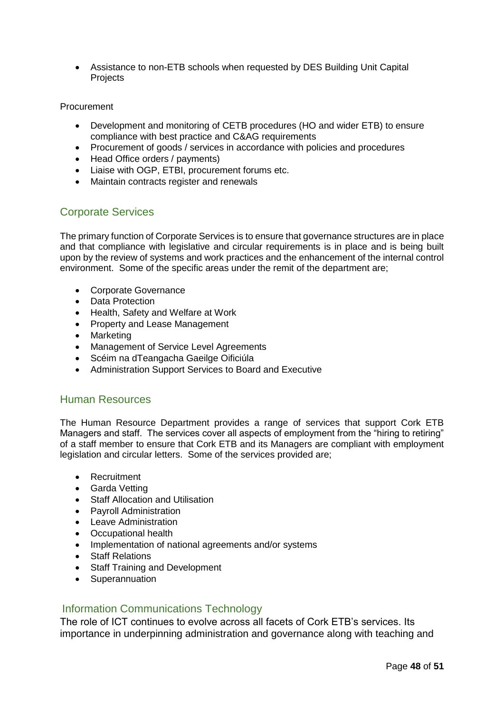• Assistance to non-ETB schools when requested by DES Building Unit Capital Projects

#### Procurement

- Development and monitoring of CETB procedures (HO and wider ETB) to ensure compliance with best practice and C&AG requirements
- Procurement of goods / services in accordance with policies and procedures
- Head Office orders / payments)
- Liaise with OGP, ETBI, procurement forums etc.
- Maintain contracts register and renewals

#### <span id="page-47-0"></span>Corporate Services

The primary function of Corporate Services is to ensure that governance structures are in place and that compliance with legislative and circular requirements is in place and is being built upon by the review of systems and work practices and the enhancement of the internal control environment. Some of the specific areas under the remit of the department are;

- Corporate Governance
- Data Protection
- Health, Safety and Welfare at Work
- Property and Lease Management
- Marketing
- Management of Service Level Agreements
- Scéim na dTeangacha Gaeilge Oificiúla
- Administration Support Services to Board and Executive

#### <span id="page-47-1"></span>Human Resources

The Human Resource Department provides a range of services that support Cork ETB Managers and staff. The services cover all aspects of employment from the "hiring to retiring" of a staff member to ensure that Cork ETB and its Managers are compliant with employment legislation and circular letters. Some of the services provided are;

- Recruitment
- Garda Vetting
- Staff Allocation and Utilisation
- Payroll Administration
- Leave Administration
- Occupational health
- Implementation of national agreements and/or systems
- Staff Relations
- Staff Training and Development
- Superannuation

#### <span id="page-47-2"></span>Information Communications Technology

The role of ICT continues to evolve across all facets of Cork ETB's services. Its importance in underpinning administration and governance along with teaching and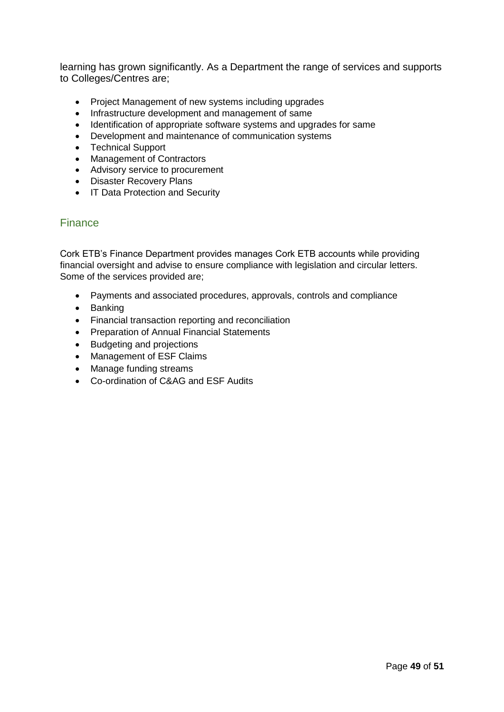learning has grown significantly. As a Department the range of services and supports to Colleges/Centres are;

- Project Management of new systems including upgrades
- Infrastructure development and management of same
- Identification of appropriate software systems and upgrades for same
- Development and maintenance of communication systems
- Technical Support
- Management of Contractors
- Advisory service to procurement
- Disaster Recovery Plans
- IT Data Protection and Security

#### <span id="page-48-0"></span>Finance

Cork ETB's Finance Department provides manages Cork ETB accounts while providing financial oversight and advise to ensure compliance with legislation and circular letters. Some of the services provided are;

- Payments and associated procedures, approvals, controls and compliance
- Banking
- Financial transaction reporting and reconciliation
- Preparation of Annual Financial Statements
- Budgeting and projections
- Management of ESF Claims
- Manage funding streams
- Co-ordination of C&AG and ESF Audits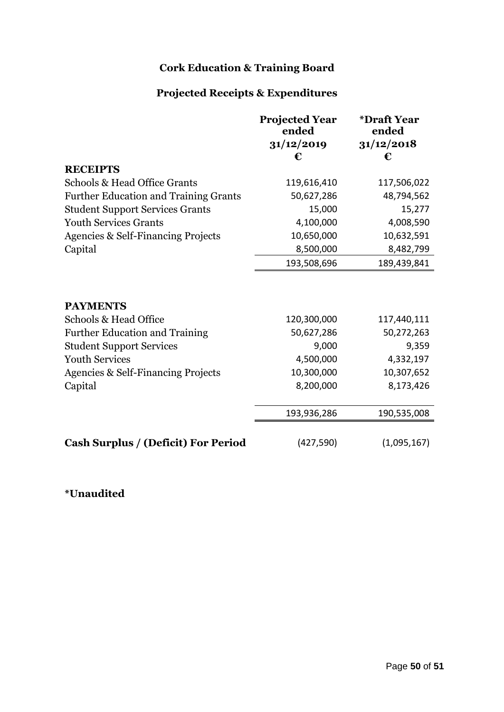### **Cork Education & Training Board**

## **Projected Receipts & Expenditures**

|                                               | <b>Projected Year</b><br>ended | *Draft Year<br>ended |
|-----------------------------------------------|--------------------------------|----------------------|
|                                               | 31/12/2019                     | 31/12/2018           |
|                                               | €                              | €                    |
| <b>RECEIPTS</b>                               |                                |                      |
| Schools & Head Office Grants                  | 119,616,410                    | 117,506,022          |
| <b>Further Education and Training Grants</b>  | 50,627,286                     | 48,794,562           |
| <b>Student Support Services Grants</b>        | 15,000                         | 15,277               |
| <b>Youth Services Grants</b>                  | 4,100,000                      | 4,008,590            |
| <b>Agencies &amp; Self-Financing Projects</b> | 10,650,000                     | 10,632,591           |
| Capital                                       | 8,500,000                      | 8,482,799            |
|                                               | 193,508,696                    | 189,439,841          |
| <b>PAYMENTS</b>                               |                                |                      |
| Schools & Head Office                         | 120,300,000                    | 117,440,111          |
| <b>Further Education and Training</b>         | 50,627,286                     | 50,272,263           |
| <b>Student Support Services</b>               | 9,000                          | 9,359                |
| <b>Youth Services</b>                         | 4,500,000                      | 4,332,197            |
| Agencies & Self-Financing Projects            | 10,300,000                     | 10,307,652           |
| Capital                                       | 8,200,000                      | 8,173,426            |
|                                               |                                |                      |
|                                               | 193,936,286                    | 190,535,008          |
| <b>Cash Surplus / (Deficit) For Period</b>    | (427, 590)                     | (1,095,167)          |

### **\*Unaudited**